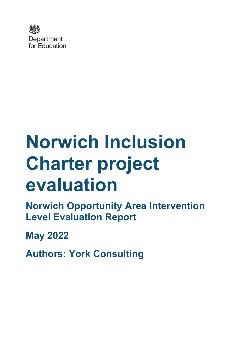

# **Norwich Inclusion Charter project evaluation**

**Norwich Opportunity Area Intervention Level Evaluation Report** 

**May 2022**

**Authors: York Consulting**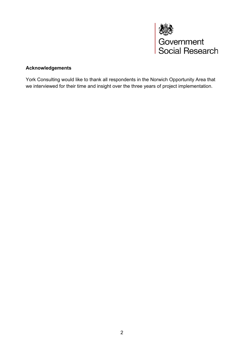

#### **Acknowledgements**

York Consulting would like to thank all respondents in the Norwich Opportunity Area that we interviewed for their time and insight over the three years of project implementation.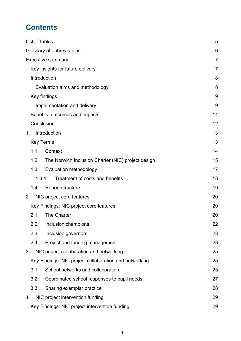# **Contents**

| List of tables                                             | 5              |
|------------------------------------------------------------|----------------|
| Glossary of abbreviations                                  | 6              |
| <b>Executive summary</b>                                   | $\overline{7}$ |
| Key insights for future delivery                           | 7              |
| Introduction                                               | 8              |
| Evaluation aims and methodology                            | 8              |
| Key findings                                               | 9              |
| Implementation and delivery                                | 9              |
| Benefits, outcomes and impacts                             | 11             |
| Conclusion                                                 | 12             |
| Introduction<br>1.                                         | 13             |
| <b>Key Terms</b>                                           | 13             |
| 1.1.<br>Context                                            | 14             |
| 1.2.<br>The Norwich Inclusion Charter (NIC) project design | 15             |
| 1.3.<br>Evaluation methodology                             | 17             |
| Treatment of costs and benefits<br>1.3.1.                  | 18             |
| <b>Report structure</b><br>1.4.                            | 19             |
| NIC project core features<br>2.                            | 20             |
| Key Findings: NIC project core features                    | 20             |
| The Charter<br>2.1.                                        | 20             |
| 2.2.<br>Inclusion champions                                | 22             |
| 2.3.<br>Inclusion governors                                | 23             |
| 2.4.<br>Project and funding management                     | 23             |
| NIC project collaboration and networking<br>3.             | 25             |
| Key Findings: NIC project collaboration and networking     | 25             |
| 3.1.<br>School networks and collaboration                  | 25             |
| 3.2.<br>Coordinated school responses to pupil needs        | 27             |
| 3.3.<br>Sharing exemplar practice                          | 28             |
| NIC project intervention funding<br>4.                     | 29             |
| Key Findings: NIC project intervention funding             | 29             |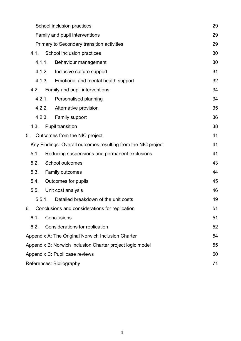|    |        | School inclusion practices                                    | 29 |
|----|--------|---------------------------------------------------------------|----|
|    |        | Family and pupil interventions                                | 29 |
|    |        | Primary to Secondary transition activities                    | 29 |
|    | 4.1.   | School inclusion practices                                    | 30 |
|    | 4.1.1. | Behaviour management                                          | 30 |
|    | 4.1.2. | Inclusive culture support                                     | 31 |
|    | 4.1.3. | Emotional and mental health support                           | 32 |
|    | 4.2.   | Family and pupil interventions                                | 34 |
|    | 4.2.1. | Personalised planning                                         | 34 |
|    | 4.2.2. | Alternative provision                                         | 35 |
|    | 4.2.3. | <b>Family support</b>                                         | 36 |
|    | 4.3.   | <b>Pupil transition</b>                                       | 38 |
| 5. |        | Outcomes from the NIC project                                 | 41 |
|    |        | Key Findings: Overall outcomes resulting from the NIC project | 41 |
|    | 5.1.   | Reducing suspensions and permanent exclusions                 | 41 |
|    | 5.2.   | School outcomes                                               | 43 |
|    | 5.3.   | <b>Family outcomes</b>                                        | 44 |
|    | 5.4.   | Outcomes for pupils                                           | 45 |
|    | 5.5.   | Unit cost analysis                                            | 46 |
|    | 5.5.1. | Detailed breakdown of the unit costs                          | 49 |
| 6. |        | Conclusions and considerations for replication                | 51 |
|    | 6.1.   | Conclusions                                                   | 51 |
|    | 6.2.   | Considerations for replication                                | 52 |
|    |        | Appendix A: The Original Norwich Inclusion Charter            | 54 |
|    |        | Appendix B: Norwich Inclusion Charter project logic model     | 55 |
|    |        | Appendix C: Pupil case reviews                                | 60 |
|    |        | References: Bibliography                                      | 71 |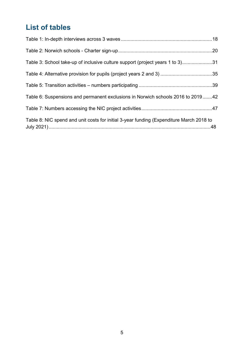# <span id="page-4-0"></span>**List of tables**

| Table 3: School take-up of inclusive culture support (project years 1 to 3)31           |  |
|-----------------------------------------------------------------------------------------|--|
|                                                                                         |  |
|                                                                                         |  |
| Table 6: Suspensions and permanent exclusions in Norwich schools 2016 to 201942         |  |
|                                                                                         |  |
| Table 8: NIC spend and unit costs for initial 3-year funding (Expenditure March 2018 to |  |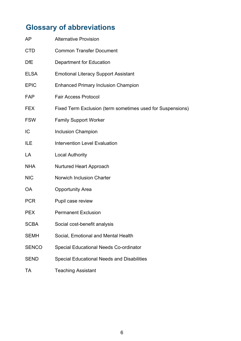# <span id="page-5-0"></span>**Glossary of abbreviations**

| <b>AP</b>    | <b>Alternative Provision</b>                               |
|--------------|------------------------------------------------------------|
| <b>CTD</b>   | <b>Common Transfer Document</b>                            |
| <b>DfE</b>   | <b>Department for Education</b>                            |
| <b>ELSA</b>  | <b>Emotional Literacy Support Assistant</b>                |
| <b>EPIC</b>  | <b>Enhanced Primary Inclusion Champion</b>                 |
| FAP          | <b>Fair Access Protocol</b>                                |
| <b>FEX</b>   | Fixed Term Exclusion (term sometimes used for Suspensions) |
| <b>FSW</b>   | <b>Family Support Worker</b>                               |
| IC           | <b>Inclusion Champion</b>                                  |
| ILE          | <b>Intervention Level Evaluation</b>                       |
| LA           | <b>Local Authority</b>                                     |
| <b>NHA</b>   | Nurtured Heart Approach                                    |
| <b>NIC</b>   | <b>Norwich Inclusion Charter</b>                           |
| <b>OA</b>    | <b>Opportunity Area</b>                                    |
| <b>PCR</b>   | Pupil case review                                          |
| <b>PEX</b>   | <b>Permanent Exclusion</b>                                 |
| <b>SCBA</b>  | Social cost-benefit analysis                               |
| <b>SEMH</b>  | Social, Emotional and Mental Health                        |
| <b>SENCO</b> | <b>Special Educational Needs Co-ordinator</b>              |
| <b>SEND</b>  | <b>Special Educational Needs and Disabilities</b>          |
| TA           | <b>Teaching Assistant</b>                                  |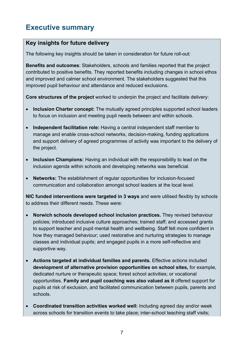# <span id="page-6-0"></span>**Executive summary**

#### <span id="page-6-1"></span>**Key insights for future delivery**

The following key insights should be taken in consideration for future roll-out:

**Benefits and outcomes**: Stakeholders, schools and families reported that the project contributed to positive benefits. They reported benefits including changes in school ethos and improved and calmer school environment. The stakeholders suggested that this improved pupil behaviour and attendance and reduced exclusions.

**Core structures of the project** worked to underpin the project and facilitate delivery:

- **Inclusion Charter concept:** The mutually agreed principles supported school leaders to focus on inclusion and meeting pupil needs between and within schools.
- **Independent facilitation role:** Having a central independent staff member to manage and enable cross-school networks, decision-making, funding applications and support delivery of agreed programmes of activity was important to the delivery of the project.
- **Inclusion Champions:** Having an individual with the responsibility to lead on the inclusion agenda within schools and developing networks was beneficial.
- **Networks:** The establishment of regular opportunities for inclusion-focused communication and collaboration amongst school leaders at the local level.

**NIC funded interventions were targeted in 3 ways** and were utilised flexibly by schools to address their different needs. These were:

- **Norwich schools developed school inclusion practices.** They revised behaviour policies; introduced inclusive culture approaches; trained staff; and accessed grants to support teacher and pupil mental health and wellbeing. Staff felt more confident in how they managed behaviour; used restorative and nurturing strategies to manage classes and individual pupils; and engaged pupils in a more self-reflective and supportive way.
- **Actions targeted at individual families and parents.** Effective actions included **development of alternative provision opportunities on school sites,** for example, dedicated nurture or therapeutic space; forest school activities; or vocational opportunities. **Family and pupil coaching was also valued as it** offered support for pupils at risk of exclusion, and facilitated communication between pupils, parents and schools.
- **Coordinated transition activities worked well:** Including agreed day and/or week across schools for transition events to take place; inter-school teaching staff visits;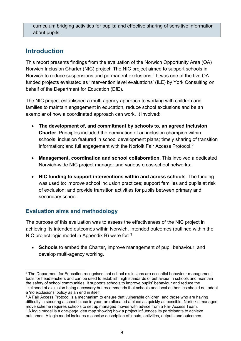curriculum bridging activities for pupils; and effective sharing of sensitive information about pupils.

# <span id="page-7-0"></span>**Introduction**

This report presents findings from the evaluation of the Norwich Opportunity Area (OA) Norwich Inclusion Charter (NIC) project. The NIC project aimed to support schools in Norwich to reduce suspensions and permanent exclusions. [1](#page-7-2) It was one of the five OA funded projects evaluated as 'intervention level evaluations' (ILE) by York Consulting on behalf of the Department for Education (DfE).

The NIC project established a multi-agency approach to working with children and families to maintain engagement in education, reduce school exclusions and be an exemplar of how a coordinated approach can work. It involved:

- **The development of, and commitment by schools to, an agreed Inclusion Charter**. Principles included the nomination of an inclusion champion within schools; inclusion featured in school development plans; timely sharing of transition information; and full engagement with the Norfolk Fair Access Protocol.[2](#page-7-3)
- **Management, coordination and school collaboration.** This involved a dedicated Norwich-wide NIC project manager and various cross-school networks.
- **NIC funding to support interventions within and across schools**. The funding was used to: improve school inclusion practices; support families and pupils at risk of exclusion; and provide transition activities for pupils between primary and secondary school.

## <span id="page-7-1"></span>**Evaluation aims and methodology**

The purpose of this evaluation was to assess the effectiveness of the NIC project in achieving its intended outcomes within Norwich. Intended outcomes (outlined within the NIC project logic model in Appendix B) were for: [3](#page-7-4)

• **Schools** to embed the Charter, improve management of pupil behaviour, and develop multi-agency working.

<span id="page-7-2"></span><sup>&</sup>lt;sup>1</sup> The Department for Education recognises that school exclusions are essential behaviour management tools for headteachers and can be used to establish high standards of behaviour in schools and maintain the safety of school communities. It supports schools to improve pupils' behaviour and reduce the likelihood of exclusion being necessary but recommends that schools and local authorities should not adopt a 'no exclusions' policy as an end in itself.

<span id="page-7-3"></span> $2$  A Fair Access Protocol is a mechanism to ensure that vulnerable children, and those who are having difficulty in securing a school place in-year, are allocated a place as quickly as possible. Norfolk's managed move scheme requires schools to set up managed moves with advice from a Fair Access Team.

<span id="page-7-4"></span> $3$  A logic model is a one-page idea map showing how a project influences its participants to achieve outcomes. A logic model includes a concise description of inputs, activities, outputs and outcomes.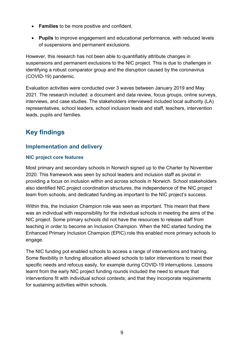- **Families** to be more positive and confident.
- **Pupils** to improve engagement and educational performance, with reduced levels of suspensions and permanent exclusions.

However, this research has not been able to quantifiably attribute changes in suspensions and permanent exclusions to the NIC project. This is due to challenges in identifying a robust comparator group and the disruption caused by the coronavirus (COVID-19) pandemic.

Evaluation activities were conducted over 3 waves between January 2019 and May 2021. The research included: a document and data review, focus groups, online surveys, interviews, and case studies. The stakeholders interviewed included local authority (LA) representatives, school leaders, school inclusion leads and staff, teachers, intervention leads, pupils and families.

# <span id="page-8-0"></span>**Key findings**

#### <span id="page-8-1"></span>**Implementation and delivery**

#### **NIC project core features**

Most primary and secondary schools in Norwich signed up to the Charter by November 2020. This framework was seen by school leaders and inclusion staff as pivotal in providing a focus on inclusion within and across schools in Norwich. School stakeholders also identified NIC project coordination structures, the independence of the NIC project team from schools, and dedicated funding as important to the NIC project's success.

Within this, the Inclusion Champion role was seen as important. This meant that there was an individual with responsibility for the individual schools in meeting the aims of the NIC project. Some primary schools did not have the resources to release staff from teaching in order to become an Inclusion Champion. When the NIC started funding the Enhanced Primary Inclusion Champion (EPIC) role this enabled more primary schools to engage.

The NIC funding pot enabled schools to access a range of interventions and training. Some flexibility in funding allocation allowed schools to tailor interventions to meet their specific needs and refocus easily, for example during COVID-19 interruptions. Lessons learnt from the early NIC project funding rounds included the need to ensure that interventions fit with individual school contexts; and that they incorporate requirements for sustaining activities within schools.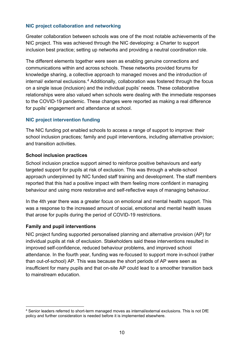#### **NIC project collaboration and networking**

Greater collaboration between schools was one of the most notable achievements of the NIC project. This was achieved through the NIC developing: a Charter to support inclusion best practice; setting up networks and providing a neutral coordination role.

The different elements together were seen as enabling genuine connections and communications within and across schools. These networks provided forums for knowledge sharing, a collective approach to managed moves and the introduction of internal/ external exclusions.<sup>[4](#page-9-0)</sup> Additionally, collaboration was fostered through the focus on a single issue (inclusion) and the individual pupils' needs. These collaborative relationships were also valued when schools were dealing with the immediate responses to the COVID-19 pandemic. These changes were reported as making a real difference for pupils' engagement and attendance at school.

#### **NIC project intervention funding**

The NIC funding pot enabled schools to access a range of support to improve: their school inclusion practices; family and pupil interventions, including alternative provision; and transition activities.

#### **School inclusion practices**

School inclusion practice support aimed to reinforce positive behaviours and early targeted support for pupils at risk of exclusion. This was through a whole-school approach underpinned by NIC funded staff training and development. The staff members reported that this had a positive impact with them feeling more confident in managing behaviour and using more restorative and self-reflective ways of managing behaviour.

In the 4th year there was a greater focus on emotional and mental health support. This was a response to the increased amount of social, emotional and mental health issues that arose for pupils during the period of COVID-19 restrictions.

#### **Family and pupil interventions**

NIC project funding supported personalised planning and alternative provision (AP) for individual pupils at risk of exclusion. Stakeholders said these interventions resulted in improved self-confidence, reduced behaviour problems, and improved school attendance. In the fourth year, funding was re-focused to support more in-school (rather than out-of-school) AP. This was because the short periods of AP were seen as insufficient for many pupils and that on-site AP could lead to a smoother transition back to mainstream education.

<span id="page-9-0"></span><sup>4</sup> Senior leaders referred to short-term managed moves as internal/external exclusions. This is not DfE policy and further consideration is needed before it is implemented elsewhere.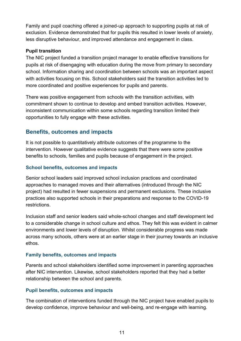Family and pupil coaching offered a joined-up approach to supporting pupils at risk of exclusion. Evidence demonstrated that for pupils this resulted in lower levels of anxiety, less disruptive behaviour, and improved attendance and engagement in class.

#### **Pupil transition**

The NIC project funded a transition project manager to enable effective transitions for pupils at risk of disengaging with education during the move from primary to secondary school. Information sharing and coordination between schools was an important aspect with activities focusing on this. School stakeholders said the transition activities led to more coordinated and positive experiences for pupils and parents.

There was positive engagement from schools with the transition activities, with commitment shown to continue to develop and embed transition activities. However, inconsistent communication within some schools regarding transition limited their opportunities to fully engage with these activities.

#### <span id="page-10-0"></span>**Benefits, outcomes and impacts**

It is not possible to quantitatively attribute outcomes of the programme to the intervention. However qualitative evidence suggests that there were some positive benefits to schools, families and pupils because of engagement in the project.

#### **School benefits, outcomes and impacts**

Senior school leaders said improved school inclusion practices and coordinated approaches to managed moves and their alternatives (introduced through the NIC project) had resulted in fewer suspensions and permanent exclusions. These inclusive practices also supported schools in their preparations and response to the COVID-19 restrictions.

Inclusion staff and senior leaders said whole-school changes and staff development led to a considerable change in school culture and ethos. They felt this was evident in calmer environments and lower levels of disruption. Whilst considerable progress was made across many schools, others were at an earlier stage in their journey towards an inclusive ethos.

#### **Family benefits, outcomes and impacts**

Parents and school stakeholders identified some improvement in parenting approaches after NIC intervention. Likewise, school stakeholders reported that they had a better relationship between the school and parents.

#### **Pupil benefits, outcomes and impacts**

The combination of interventions funded through the NIC project have enabled pupils to develop confidence, improve behaviour and well-being, and re-engage with learning.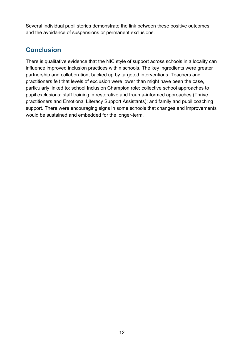Several individual pupil stories demonstrate the link between these positive outcomes and the avoidance of suspensions or permanent exclusions.

# <span id="page-11-0"></span>**Conclusion**

There is qualitative evidence that the NIC style of support across schools in a locality can influence improved inclusion practices within schools. The key ingredients were greater partnership and collaboration, backed up by targeted interventions. Teachers and practitioners felt that levels of exclusion were lower than might have been the case, particularly linked to: school Inclusion Champion role; collective school approaches to pupil exclusions; staff training in restorative and trauma-informed approaches (Thrive practitioners and Emotional Literacy Support Assistants); and family and pupil coaching support. There were encouraging signs in some schools that changes and improvements would be sustained and embedded for the longer-term.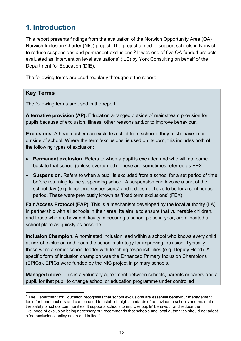# <span id="page-12-0"></span>**1. Introduction**

This report presents findings from the evaluation of the Norwich Opportunity Area (OA) Norwich Inclusion Charter (NIC) project. The project aimed to support schools in Norwich to reduce suspensions and permanent exclusions. [5](#page-12-2) It was one of five OA funded projects evaluated as 'intervention level evaluations' (ILE) by York Consulting on behalf of the Department for Education (DfE).

The following terms are used regularly throughout the report:

#### <span id="page-12-1"></span>**Key Terms**

The following terms are used in the report:

**Alternative provision (AP).** Education arranged outside of mainstream provision for pupils because of exclusion, illness, other reasons and/or to improve behaviour.

**Exclusions.** A headteacher can exclude a child from school if they misbehave in or outside of school. Where the term 'exclusions' is used on its own, this includes both of the following types of exclusion:

- **Permanent exclusion.** Refers to when a pupil is excluded and who will not come back to that school (unless overturned). These are sometimes referred as PEX.
- **Suspension.** Refers to when a pupil is excluded from a school for a set period of time before returning to the suspending school. A suspension can involve a part of the school day (e.g. lunchtime suspensions) and it does not have to be for a continuous period. These were previously known as 'fixed term exclusions' (FEX).

**Fair Access Protocol (FAP).** This is a mechanism developed by the local authority (LA) in partnership with all schools in their area. Its aim is to ensure that vulnerable children, and those who are having difficulty in securing a school place in-year, are allocated a school place as quickly as possible.

**Inclusion Champion**. A nominated inclusion lead within a school who knows every child at risk of exclusion and leads the school's strategy for improving inclusion. Typically, these were a senior school leader with teaching responsibilities (e.g. Deputy Head). A specific form of inclusion champion was the Enhanced Primary Inclusion Champions (EPICs). EPICs were funded by the NIC project in primary schools.

**Managed move.** This is a voluntary agreement between schools, parents or carers and a pupil, for that pupil to change school or education programme under controlled

<span id="page-12-2"></span><sup>&</sup>lt;sup>5</sup> The Department for Education recognises that school exclusions are essential behaviour management tools for headteachers and can be used to establish high standards of behaviour in schools and maintain the safety of school communities. It supports schools to improve pupils' behaviour and reduce the likelihood of exclusion being necessary but recommends that schools and local authorities should not adopt a 'no exclusions' policy as an end in itself.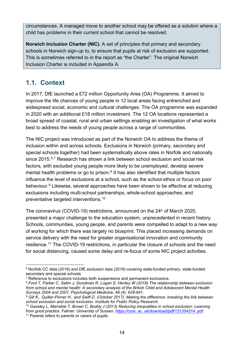circumstances. A managed move to another school may be offered as a solution where a child has problems in their current school that cannot be resolved.

**Norwich Inclusion Charter (NIC).** A set of principles that primary and secondary schools in Norwich sign-up to, to ensure that pupils at risk of exclusion are supported. This is sometimes referred to in the report as "the Charter". The original Norwich Inclusion Charter is included in Appendix A.

## <span id="page-13-0"></span>**1.1. Context**

In 2017, DfE launched a £72 million Opportunity Area (OA) Programme. It aimed to improve the life chances of young people in 12 local areas facing entrenched and widespread social, economic and cultural challenges. The OA programme was expanded in 2020 with an additional £18 million investment. The 12 OA locations represented a broad spread of coastal, rural and urban settings enabling an investigation of what works best to address the needs of young people across a range of communities.

The NIC project was introduced as part of the Norwich OA to address the theme of inclusion within and across schools. Exclusions in Norwich (primary, secondary and special schools together) had been systematically above rates in Norfolk and nationally since 2015.<sup>[6](#page-13-1),[7](#page-13-2)</sup> Research has shown a link between school exclusion and social risk factors, with excluded young people more likely to be unemployed, develop severe mental health problems or go to prison. $8$  It has also identified that multiple factors influence the level of exclusions at a school, such as the school ethos or focus on poor behaviour.<sup>[9](#page-13-4)</sup> Likewise, several approaches have been shown to be effective at reducing exclusions including multi-school partnerships, whole-school approaches, and preventative targeted interventions. [10](#page-13-5)

The coronavirus (COVID-19) restrictions, announced on the  $24<sup>th</sup>$  of March 2020, presented a major challenge to the education system, unprecedented in recent history. Schools, communities, young people, and parents were compelled to adapt to a new way of working for which there was largely no blueprint. This placed increasing demands on service delivery with the need for greater organisational innovation and community resilience.<sup>[11](#page-13-6)</sup> The COVID-19 restrictions, in particular the closure of schools and the need for social distancing, caused some delay and re-focus of some NIC project activities.

<span id="page-13-1"></span> $6$  Norfolk CC data (2019) and DfE exclusion data (2019) covering state-funded primary, state-funded secondary and special schools<br> $\frac{7}{7}$  Reference to exclusions includes both suspensions and permanent exclusions.

<span id="page-13-2"></span>

<span id="page-13-3"></span><sup>&</sup>lt;sup>8</sup> Ford T, Parker C, Salim J, Goodman R, Logan S, Henley W (2018) The relationship between exclusion *from school and mental health: A secondary analysis of the British Child and Adolescent Mental Health Surveys 2004 and 2007, Psychological Medicine, 48 (4): 629-641.*

<span id="page-13-4"></span><sup>&</sup>lt;sup>9</sup> Gill K., Quilter-Pinner H., and Swift D. (October 2017). Making the difference: breaking the link between school exclusion and social exclusion. Institute for Public Policy Research.

<span id="page-13-6"></span><span id="page-13-5"></span>*school exclusion and social exclusion. Institute for Public Policy Research*. 10 *Gazeley L, Marrable T, Brown C, Boddy J (2013) Reducing inequalities in school exclusion: Learning from good practice. Falmer: University of Sussex. [https://core. ac. uk/download/pdf/131354314. pdf.](https://core.ac.uk/download/pdf/131354314.pdf)* <sup>11</sup> Parents refers to parents or carers of pupils.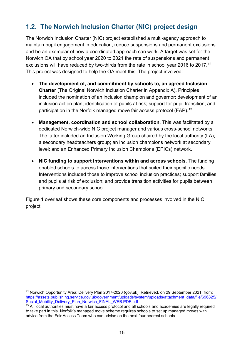# <span id="page-14-0"></span>**1.2. The Norwich Inclusion Charter (NIC) project design**

The Norwich Inclusion Charter (NIC) project established a multi-agency approach to maintain pupil engagement in education, reduce suspensions and permanent exclusions and be an exemplar of how a coordinated approach can work. A target was set for the Norwich OA that by school year 2020 to 2021 the rate of suspensions and permanent exclusions will have reduced by two-thirds from the rate in school year 2016 to 2017.<sup>[12](#page-14-1)</sup> This project was designed to help the OA meet this. The project involved:

- **The development of, and commitment by schools to, an agreed Inclusion Charter** (The Original Norwich Inclusion Charter in Appendix A)**.** Principles included the nomination of an inclusion champion and governor; development of an inclusion action plan; identification of pupils at risk; support for pupil transition; and participation in the Norfolk managed move fair access protocol (FAP).<sup>[13](#page-14-2)</sup>
- **Management, coordination and school collaboration.** This was facilitated by a dedicated Norwich-wide NIC project manager and various cross-school networks. The latter included an Inclusion Working Group chaired by the local authority (LA); a secondary headteachers group; an inclusion champions network at secondary level; and an Enhanced Primary Inclusion Champions (EPICs) network.
- **NIC funding to support interventions within and across schools**. The funding enabled schools to access those interventions that suited their specific needs. Interventions included those to improve school inclusion practices; support families and pupils at risk of exclusion; and provide transition activities for pupils between primary and secondary school.

Figure 1 overleaf shows these core components and processes involved in the NIC project.

<span id="page-14-1"></span><sup>&</sup>lt;sup>12</sup> Norwich Opportunity Area: Delivery Plan 2017-2020 (gov.uk). Retrieved, on 29 September 2021, from: [https://assets.publishing.service.gov.uk/government/uploads/system/uploads/attachment\\_data/file/696825/](https://assets.publishing.service.gov.uk/government/uploads/system/uploads/attachment_data/file/696825/Social_Mobility_Delivery_Plan_Norwich_FINAL_WEB.PDF.pdf)<br>Social Mobility Delivery Plan Norwich FINAL WEB.PDF.pdf

<span id="page-14-2"></span> $\frac{1}{13}$  All local authorities must have a fair access protocol and all schools and academies are legally required to take part in this. Norfolk's managed move scheme requires schools to set up managed moves with advice from the Fair Access Team who can advise on the next four nearest schools.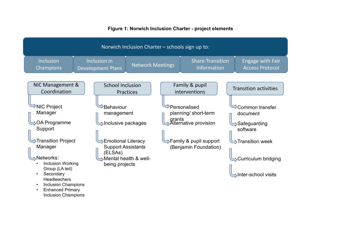#### **Figure 1: Norwich Inclusion Charter - project elements**

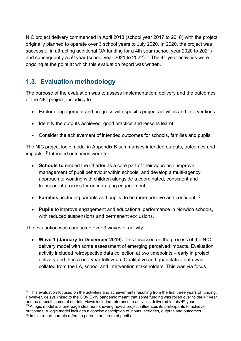NIC project delivery commenced in April 2018 (school year 2017 to 2018) with the project originally planned to operate over 3 school years to July 2020. In 2020, the project was successful in attracting additional OA funding for a 4th year (school year 2020 to 2021) and subsequently a  $5<sup>th</sup>$  year (school year 2021 to 2022).<sup>[14](#page-16-1)</sup> The 4<sup>th</sup> year activities were ongoing at the point at which this evaluation report was written.

# <span id="page-16-0"></span>**1.3. Evaluation methodology**

The purpose of the evaluation was to assess implementation, delivery and the outcomes of the NIC project, including to:

- Explore engagement and progress with specific project activities and interventions.
- Identify the outputs achieved, good practice and lessons learnt.
- Consider the achievement of intended outcomes for schools, families and pupils.

The NIC project logic model in Appendix B summarises intended outputs, outcomes and impacts.[15](#page-16-2) Intended outcomes were for:

- **Schools to** embed the Charter as a core part of their approach; improve management of pupil behaviour within schools; and develop a multi-agency approach to working with children alongside a coordinated, consistent and transparent process for encouraging engagement.
- **Families**, including parents and pupils, to be more positive and confident.<sup>[16](#page-16-3)</sup>
- **Pupils** to improve engagement and educational performance in Norwich schools, with reduced suspensions and permanent exclusions.

The evaluation was conducted over 3 waves of activity:

• **Wave 1 (January to December 2019):** This focussed on the process of the NIC delivery model with some assessment of emerging perceived impacts. Evaluation activity included retrospective data collection at two timepoints – early in project delivery and then a one-year follow-up. Qualitative and quantitative data was collated from the LA, school and intervention stakeholders. This was via focus

<span id="page-16-1"></span> $14$  This evaluation focused on the activities and achievements resulting from the first three years of funding. However, delays linked to the COVID-19 pandemic meant that some funding was rolled over to the 4<sup>th</sup> year and as a result, some of our interviews included reference to activities delivered in this 4<sup>th</sup> year.  $15$  A logic model is a one-page idea map showing how a project influences its participants to achieve

<span id="page-16-3"></span><span id="page-16-2"></span>outcomes. A logic model includes a concise description of inputs, activities, outputs and outcomes. <sup>16</sup> In this report parents refers to parents or carers of pupils.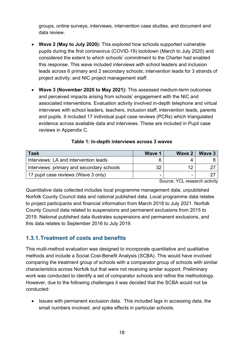groups, online surveys, interviews, intervention case studies, and document and data review.

- **Wave 2 (May to July 2020):** This explored how schools supported vulnerable pupils during the first coronavirus (COVID-19) lockdown (March to July 2020) and considered the extent to which schools' commitment to the Charter had enabled this response. This wave included interviews with school leaders and inclusion leads across 6 primary and 2 secondary schools; intervention leads for 3 strands of project activity; and NIC project management staff.
- **Wave 3 (November 2020 to May 2021):** This assessed medium-term outcomes and perceived impacts arising from schools' engagement with the NIC and associated interventions. Evaluation activity involved in-depth telephone and virtual interviews with school leaders, teachers, inclusion staff, intervention leads, parents and pupils. It included 17 individual pupil case reviews (PCRs) which triangulated evidence across available data and interviews. These are included in Pupil case reviews in Appendix C.

<span id="page-17-1"></span>

| <b>Task</b>                               | Wave 1 | Wave 2 | Wave 3 |
|-------------------------------------------|--------|--------|--------|
| Interviews: LA and intervention leads     |        |        |        |
| Interviews: primary and secondary schools | 32     |        |        |
| 17 pupil case reviews (Wave 3 only)       | -      |        |        |

#### **Table 1: In-depth interviews across 3 waves**

Source: YCL research activity

Quantitative data collected includes local programme management data, unpublished Norfolk County Council data and national published data. Local programme data relates to project participants and financial information from March 2018 to July 2021. Norfolk County Council data related to suspensions and permanent exclusions from 2015 to 2019. National published data illustrates suspensions and permanent exclusions, and this data relates to September 2016 to July 2019.

#### <span id="page-17-0"></span>**1.3.1.Treatment of costs and benefits**

This multi-method evaluation was designed to incorporate quantitative and qualitative methods and include a Social Cost-Benefit Analysis (SCBA). This would have involved comparing the treatment group of schools with a comparator group of schools with similar characteristics across Norfolk but that were not receiving similar support. Preliminary work was conducted to identify a set of comparator schools and refine the methodology. However, due to the following challenges it was decided that the SCBA would not be conducted:

• Issues with permanent exclusion data. This included lags in accessing data, the small numbers involved, and spike effects in particular schools.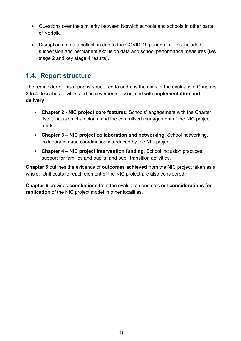- Questions over the similarity between Norwich schools and schools in other parts of Norfolk.
- Disruptions to data collection due to the COVID-19 pandemic. This included suspension and permanent exclusion data and school performance measures (key stage 2 and key stage 4 results).

## <span id="page-18-0"></span>**1.4. Report structure**

The remainder of this report is structured to address the aims of the evaluation. Chapters 2 to 4 describe activities and achievements associated with **implementation and delivery**:

- **Chapter 2 NIC project core features.** Schools' engagement with the Charter itself, inclusion champions, and the centralised management of the NIC project funds.
- **Chapter 3 NIC project collaboration and networking.** School networking, collaboration and coordination introduced by the NIC project.
- **Chapter 4 NIC project intervention funding.** School inclusion practices, support for families and pupils, and pupil transition activities.

**Chapter 5** outlines the evidence of **outcomes achieved** from the NIC project taken as a whole. Unit costs for each element of the NIC project are also considered.

**Chapter 6** provides **conclusions** from the evaluation and sets out **considerations for replication** of the NIC project model in other localities.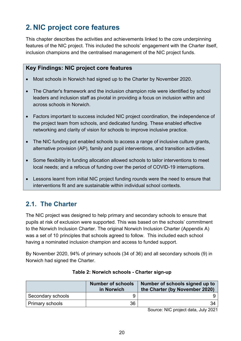# <span id="page-19-0"></span>**2. NIC project core features**

This chapter describes the activities and achievements linked to the core underpinning features of the NIC project. This included the schools' engagement with the Charter itself, inclusion champions and the centralised management of the NIC project funds.

#### <span id="page-19-1"></span>**Key Findings: NIC project core features**

- Most schools in Norwich had signed up to the Charter by November 2020.
- The Charter's framework and the inclusion champion role were identified by school leaders and inclusion staff as pivotal in providing a focus on inclusion within and across schools in Norwich.
- Factors important to success included NIC project coordination, the independence of the project team from schools, and dedicated funding. These enabled effective networking and clarity of vision for schools to improve inclusive practice.
- The NIC funding pot enabled schools to access a range of inclusive culture grants, alternative provision (AP), family and pupil interventions, and transition activities.
- Some flexibility in funding allocation allowed schools to tailor interventions to meet local needs; and a refocus of funding over the period of COVID-19 interruptions.
- Lessons learnt from initial NIC project funding rounds were the need to ensure that interventions fit and are sustainable within individual school contexts.

# <span id="page-19-2"></span>**2.1. The Charter**

The NIC project was designed to help primary and secondary schools to ensure that pupils at risk of exclusion were supported. This was based on the schools' commitment to the Norwich Inclusion Charter. The original Norwich Inclusion Charter (Appendix A) was a set of 10 principles that schools agreed to follow. This included each school having a nominated inclusion champion and access to funded support.

By November 2020, 94% of primary schools (34 of 36) and all secondary schools (9) in Norwich had signed the Charter.

<span id="page-19-3"></span>

|                   | <b>Number of schools</b><br>in Norwich | Number of schools signed up to<br>the Charter (by November 2020) |
|-------------------|----------------------------------------|------------------------------------------------------------------|
| Secondary schools |                                        |                                                                  |
| Primary schools   | 36                                     |                                                                  |

#### **Table 2: Norwich schools - Charter sign-up**

Source: NIC project data, July 2021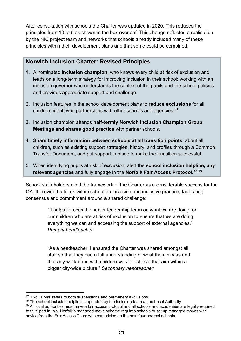After consultation with schools the Charter was updated in 2020. This reduced the principles from 10 to 5 as shown in the box overleaf. This change reflected a realisation by the NIC project team and networks that schools already included many of these principles within their development plans and that some could be combined.

#### **Norwich Inclusion Charter: Revised Principles**

- 1. A nominated **inclusion champion**, who knows every child at risk of exclusion and leads on a long-term strategy for improving inclusion in their school; working with an inclusion governor who understands the context of the pupils and the school policies and provides appropriate support and challenge.
- 2. Inclusion features in the school development plans to **reduce exclusions** for all children, identifying partnerships with other schools and agencies**.** [17](#page-20-0)
- 3. Inclusion champion attends **half-termly Norwich Inclusion Champion Group Meetings and shares good practice** with partner schools.
- 4. **Share timely information between schools at all transition points**, about all children, such as existing support strategies, history, and profiles through a Common Transfer Document; and put support in place to make the transition successful.
- 5. When identifying pupils at risk of exclusion, alert the **school inclusion helpline, any relevant agencies** and fully engage in the **Norfolk Fair Access Protocol.**[18](#page-20-1),[19](#page-20-2)

School stakeholders cited the framework of the Charter as a considerable success for the OA. It provided a focus within school on inclusion and inclusive practice, facilitating consensus and commitment around a shared challenge:

> "It helps to focus the senior leadership team on what we are doing for our children who are at risk of exclusion to ensure that we are doing everything we can and accessing the support of external agencies." *Primary headteacher*

"As a headteacher, I ensured the Charter was shared amongst all staff so that they had a full understanding of what the aim was and that any work done with children was to achieve that aim within a bigger city-wide picture." *Secondary headteacher*

<span id="page-20-0"></span><sup>&</sup>lt;sup>17</sup> 'Exclusions' refers to both suspensions and permanent exclusions.<br><sup>18</sup> The school inclusion helpline is operated by the inclusion team at the Local Authority.

<span id="page-20-2"></span><span id="page-20-1"></span><sup>&</sup>lt;sup>19</sup> All local authorities must have a fair access protocol and all schools and academies are legally required to take part in this. Norfolk's managed move scheme requires schools to set up managed moves with advice from the Fair Access Team who can advise on the next four nearest schools.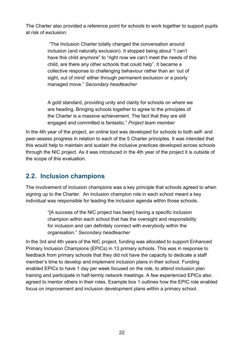The Charter also provided a reference point for schools to work together to support pupils at risk of exclusion:

> "The Inclusion Charter totally changed the conversation around inclusion (and naturally exclusion). It stopped being about "I can't have this child anymore" to "right now we can't meet the needs of this child, are there any other schools that could help". It became a collective response to challenging behaviour rather than an 'out of sight, out of mind' either through permanent exclusion or a poorly managed move." *Secondary headteacher*

A gold standard, providing unity and clarity for schools on where we are heading. Bringing schools together to agree to the principles of the Charter is a massive achievement. The fact that they are still engaged and committed is fantastic." *Project team member*

In the 4th year of the project, an online tool was developed for schools to both self- and peer-assess progress in relation to each of the 5 Charter principles. It was intended that this would help to maintain and sustain the inclusive practices developed across schools through the NIC project. As it was introduced in the 4th year of the project it is outside of the scope of this evaluation.

# <span id="page-21-0"></span>**2.2. Inclusion champions**

The involvement of inclusion champions was a key principle that schools agreed to when signing up to the Charter. An inclusion champion role in each school meant a key individual was responsible for leading the inclusion agenda within those schools.

> "[A success of the NIC project has been] having a specific inclusion champion within each school that has the oversight and responsibility for inclusion and can definitely connect with everybody within the organisation." *Secondary headteacher*

In the 3rd and 4th years of the NIC project, funding was allocated to support Enhanced Primary Inclusion Champions (EPICs) in 13 primary schools. This was in response to feedback from primary schools that they did not have the capacity to dedicate a staff member's time to develop and implement inclusion plans in their school. Funding enabled EPICs to have 1 day per week focused on the role, to attend inclusion plan training and participate in half-termly network meetings. A few experienced EPICs also agreed to mentor others in their roles. Example box 1 outlines how the EPIC role enabled focus on improvement and inclusion development plans within a primary school.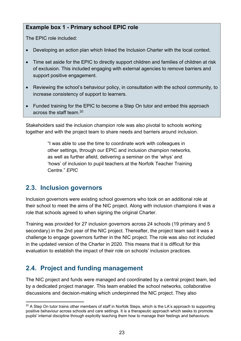#### **Example box 1 - Primary school EPIC role**

The EPIC role included:

- Developing an action plan which linked the Inclusion Charter with the local context.
- Time set aside for the EPIC to directly support children and families of children at risk of exclusion. This included engaging with external agencies to remove barriers and support positive engagement.
- Reviewing the school's behaviour policy, in consultation with the school community, to increase consistency of support to learners.
- Funded training for the EPIC to become a Step On tutor and embed this approach across the staff team.[20](#page-22-2)

Stakeholders said the inclusion champion role was also pivotal to schools working together and with the project team to share needs and barriers around inclusion.

> "I was able to use the time to coordinate work with colleagues in other settings, through our EPIC and inclusion champion networks, as well as further afield, delivering a seminar on the 'whys' and 'hows' of inclusion to pupil teachers at the Norfolk Teacher Training Centre." *EPIC*

## <span id="page-22-0"></span>**2.3. Inclusion governors**

Inclusion governors were existing school governors who took on an additional role at their school to meet the aims of the NIC project. Along with inclusion champions it was a role that schools agreed to when signing the original Charter.

Training was provided for 27 inclusion governors across 24 schools (19 primary and 5 secondary) in the 2nd year of the NIC project. Thereafter, the project team said it was a challenge to engage governors further in the NIC project. The role was also not included in the updated version of the Charter in 2020. This means that it is difficult for this evaluation to establish the impact of their role on schools' inclusion practices.

# <span id="page-22-1"></span>**2.4. Project and funding management**

The NIC project and funds were managed and coordinated by a central project team, led by a dedicated project manager. This team enabled the school networks, collaborative discussions and decision-making which underpinned the NIC project. They also

<span id="page-22-2"></span> $20$  A Step On tutor trains other members of staff in Norfolk Steps, which is the LA's approach to supporting positive behaviour across schools and care settings. It is a therapeutic approach which seeks to promote pupils' internal discipline through explicitly teaching them how to manage their feelings and behaviours.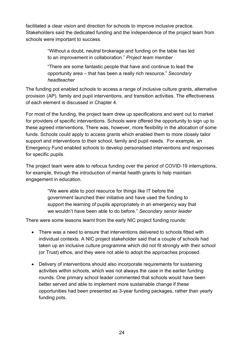facilitated a clear vision and direction for schools to improve inclusive practice. Stakeholders said the dedicated funding and the independence of the project team from schools were important to success.

> "Without a doubt, neutral brokerage and funding on the table has led to an improvement in collaboration." *Project team member*

> "There are some fantastic people that have and continue to lead the opportunity area – that has been a really rich resource." *Secondary headteacher*

The funding pot enabled schools to access a range of inclusive culture grants, alternative provision (AP), family and pupil interventions, and transition activities. The effectiveness of each element is discussed in Chapter 4.

For most of the funding, the project team drew up specifications and went out to market for providers of specific interventions. Schools were offered the opportunity to sign up to these agreed interventions. There was, however, more flexibility in the allocation of some funds. Schools could apply to access grants which enabled them to more closely tailor support and interventions to their school, family and pupil needs. For example, an Emergency Fund enabled schools to develop personalised interventions and responses for specific pupils.

The project team were able to refocus funding over the period of COVID-19 interruptions, for example, through the introduction of mental health grants to help maintain engagement in education.

> "We were able to pool resource for things like IT before the government launched their initiative and have used the funding to support the learning of pupils appropriately in an emergency way that we wouldn't have been able to do before." *Secondary senior leader*

There were some lessons learnt from the early NIC project funding rounds:

- There was a need to ensure that interventions delivered to schools fitted with individual contexts. A NIC project stakeholder said that a couple of schools had taken up an inclusive culture programme which did not fit strongly with their school (or Trust) ethos, and they were not able to adopt the approaches proposed.
- Delivery of interventions should also incorporate requirements for sustaining activities within schools, which was not always the case in the earlier funding rounds. One primary school leader commented that schools would have been better served and able to implement more sustainable change if these opportunities had been presented as 3-year funding packages, rather than yearly funding pots.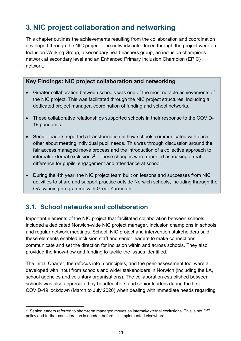# <span id="page-24-0"></span>**3. NIC project collaboration and networking**

This chapter outlines the achievements resulting from the collaboration and coordination developed through the NIC project. The networks introduced through the project were an Inclusion Working Group, a secondary headteachers group, an inclusion champions network at secondary level and an Enhanced Primary Inclusion Champion (EPIC) network.

#### <span id="page-24-1"></span>**Key Findings: NIC project collaboration and networking**

- Greater collaboration between schools was one of the most notable achievements of the NIC project. This was facilitated through the NIC project structures, including a dedicated project manager, coordination of funding and school networks.
- These collaborative relationships supported schools in their response to the COVID-19 pandemic.
- Senior leaders reported a transformation in how schools communicated with each other about meeting individual pupil needs. This was through discussion around the fair access managed move process and the introduction of a collective approach to  $\mu$  internal/ external exclusions<sup>[21](#page-24-3)</sup>. These changes were reported as making a real difference for pupils' engagement and attendance at school.
- During the 4th year, the NIC project team built on lessons and successes from NIC activities to share and support practice outside Norwich schools, including through the OA twinning programme with Great Yarmouth.

# <span id="page-24-2"></span>**3.1. School networks and collaboration**

Important elements of the NIC project that facilitated collaboration between schools included a dedicated Norwich-wide NIC project manager, inclusion champions in schools, and regular network meetings. School, NIC project and intervention stakeholders said these elements enabled inclusion staff and senior leaders to make connections, communicate and set the direction for inclusion within and across schools. They also provided the know-how and funding to tackle the issues identified.

The initial Charter, the refocus into 5 principles, and the peer-assessment tool were all developed with input from schools and wider stakeholders in Norwich (including the LA, school agencies and voluntary organisations). The collaboration established between schools was also appreciated by headteachers and senior leaders during the first COVID-19 lockdown (March to July 2020) when dealing with immediate needs regarding

<span id="page-24-3"></span><sup>&</sup>lt;sup>21</sup> Senior leaders referred to short-term managed moves as internal/external exclusions. This is not DfE policy and further consideration is needed before it is implemented elsewhere.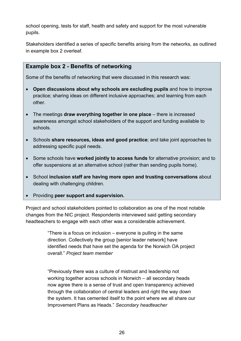school opening, tests for staff, health and safety and support for the most vulnerable pupils.

Stakeholders identified a series of specific benefits arising from the networks, as outlined in example box 2 overleaf.

#### **Example box 2 - Benefits of networking**

Some of the benefits of networking that were discussed in this research was:

- **Open discussions about why schools are excluding pupils** and how to improve practice; sharing ideas on different inclusive approaches; and learning from each other.
- The meetings **draw everything together in one place** there is increased awareness amongst school stakeholders of the support and funding available to schools.
- Schools **share resources, ideas and good practice**; and take joint approaches to addressing specific pupil needs.
- Some schools have **worked jointly to access funds** for alternative provision; and to offer suspensions at an alternative school (rather than sending pupils home).
- School **inclusion staff are having more open and trusting conversations** about dealing with challenging children.
- Providing **peer support and supervision.**

Project and school stakeholders pointed to collaboration as one of the most notable changes from the NIC project. Respondents interviewed said getting secondary headteachers to engage with each other was a considerable achievement.

> "There is a focus on inclusion – everyone is pulling in the same direction. Collectively the group [senior leader network] have identified needs that have set the agenda for the Norwich OA project overall." *Project team member*

> "Previously there was a culture of mistrust and leadership not working together across schools in Norwich – all secondary heads now agree there is a sense of trust and open transparency achieved through the collaboration of central leaders and right the way down the system. It has cemented itself to the point where we all share our Improvement Plans as Heads." *Secondary headteacher*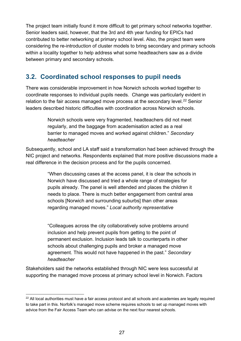The project team initially found it more difficult to get primary school networks together. Senior leaders said, however, that the 3rd and 4th year funding for EPICs had contributed to better networking at primary school level. Also, the project team were considering the re-introduction of cluster models to bring secondary and primary schools within a locality together to help address what some headteachers saw as a divide between primary and secondary schools.

# <span id="page-26-0"></span>**3.2. Coordinated school responses to pupil needs**

There was considerable improvement in how Norwich schools worked together to coordinate responses to individual pupils needs. Change was particularly evident in relation to the fair access managed move process at the secondary level.<sup>[22](#page-26-1)</sup> Senior leaders described historic difficulties with coordination across Norwich schools.

> Norwich schools were very fragmented, headteachers did not meet regularly, and the baggage from academisation acted as a real barrier to managed moves and worked against children." *Secondary headteacher*

Subsequently, school and LA staff said a transformation had been achieved through the NIC project and networks. Respondents explained that more positive discussions made a real difference in the decision process and for the pupils concerned.

> "When discussing cases at the access panel, it is clear the schools in Norwich have discussed and tried a whole range of strategies for pupils already. The panel is well attended and places the children it needs to place. There is much better engagement from central area schools [Norwich and surrounding suburbs] than other areas regarding managed moves." *Local authority representative*

"Colleagues across the city collaboratively solve problems around inclusion and help prevent pupils from getting to the point of permanent exclusion. Inclusion leads talk to counterparts in other schools about challenging pupils and broker a managed move agreement. This would not have happened in the past." *Secondary headteacher*

Stakeholders said the networks established through NIC were less successful at supporting the managed move process at primary school level in Norwich. Factors

<span id="page-26-1"></span><sup>&</sup>lt;sup>22</sup> All local authorities must have a fair access protocol and all schools and academies are legally required to take part in this. Norfolk's managed move scheme requires schools to set up managed moves with advice from the Fair Access Team who can advise on the next four nearest schools.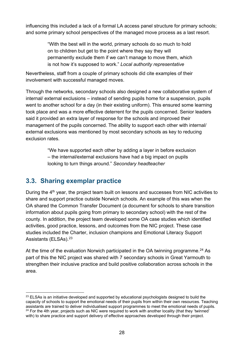influencing this included a lack of a formal LA access panel structure for primary schools; and some primary school perspectives of the managed move process as a last resort.

> "With the best will in the world, primary schools do so much to hold on to children but get to the point where they say they will permanently exclude them if we can't manage to move them, which is not how it's supposed to work." *Local authority representative*

Nevertheless, staff from a couple of primary schools did cite examples of their involvement with successful managed moves.

Through the networks, secondary schools also designed a new collaborative system of internal/ external exclusions – instead of sending pupils home for a suspension, pupils went to another school for a day (in their existing uniform). This ensured some learning took place and was a more effective deterrent for the pupils concerned. Senior leaders said it provided an extra layer of response for the schools and improved their management of the pupils concerned. The ability to support each other with internal/ external exclusions was mentioned by most secondary schools as key to reducing exclusion rates.

> "We have supported each other by adding a layer in before exclusion – the internal/external exclusions have had a big impact on pupils looking to turn things around." *Secondary headteacher*

## <span id="page-27-0"></span>**3.3. Sharing exemplar practice**

During the  $4<sup>th</sup>$  year, the project team built on lessons and successes from NIC activities to share and support practice outside Norwich schools. An example of this was when the OA shared the Common Transfer Document (a document for schools to share transition information about pupils going from primary to secondary school) with the rest of the county. In addition, the project team developed some OA case studies which identified activities, good practice, lessons, and outcomes from the NIC project. These case studies included the Charter, inclusion champions and Emotional Literacy Support Assistants (ELSAs).<sup>[23](#page-27-1)</sup>

At the time of the evaluation Norwich participated in the OA twinning programme.<sup>[24](#page-27-2)</sup> As part of this the NIC project was shared with 7 secondary schools in Great Yarmouth to strengthen their inclusive practice and build positive collaboration across schools in the area.

<span id="page-27-2"></span><span id="page-27-1"></span> $23$  ELSAs is an initiative developed and supported by educational psychologists designed to build the capacity of schools to support the emotional needs of their pupils from within their own resources. Teaching<br>assistants are trained to deliver individualised support programmes to meet the emotional needs of pupils.  $24$  For the 4th year, projects such as NIC were required to work with another locality (that they 'twinned' with) to share practice and support delivery of effective approaches developed through their project.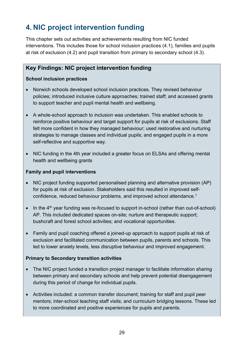# <span id="page-28-0"></span>**4. NIC project intervention funding**

This chapter sets out activities and achievements resulting from NIC funded interventions. This includes those for school inclusion practices (4.1), families and pupils at risk of exclusion (4.2) and pupil transition from primary to secondary school (4.3).

#### <span id="page-28-1"></span>**Key Findings: NIC project intervention funding**

#### <span id="page-28-2"></span>**School inclusion practices**

- Norwich schools developed school inclusion practices. They revised behaviour policies; introduced inclusive culture approaches; trained staff; and accessed grants to support teacher and pupil mental health and wellbeing.
- A whole-school approach to inclusion was undertaken. This enabled schools to reinforce positive behaviour and target support for pupils at risk of exclusions. Staff felt more confident in how they managed behaviour; used restorative and nurturing strategies to manage classes and individual pupils; and engaged pupils in a more self-reflective and supportive way.
- NIC funding in the 4th year included a greater focus on ELSAs and offering mental health and wellbeing grants

#### <span id="page-28-3"></span>**Family and pupil interventions**

- NIC project funding supported personalised planning and alternative provision (AP) for pupils at risk of exclusion. Stakeholders said this resulted in improved selfconfidence, reduced behaviour problems, and improved school attendance.1
- In the  $4<sup>th</sup>$  year funding was re-focused to support in-school (rather than out-of-school) AP. This included dedicated spaces on-site; nurture and therapeutic support; bushcraft and forest school activities; and vocational opportunities.
- Family and pupil coaching offered a joined-up approach to support pupils at risk of exclusion and facilitated communication between pupils, parents and schools. This led to lower anxiety levels, less disruptive behaviour and improved engagement.

#### <span id="page-28-4"></span>**Primary to Secondary transition activities**

- The NIC project funded a transition project manager to facilitate information sharing between primary and secondary schools and help prevent potential disengagement during this period of change for individual pupils.
- Activities included: a common transfer document; training for staff and pupil peer mentors; inter-school teaching staff visits; and curriculum bridging lessons. These led to more coordinated and positive experiences for pupils and parents.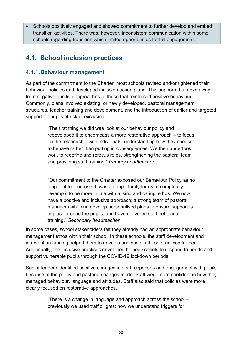• Schools positively engaged and showed commitment to further develop and embed transition activities. There was, however, inconsistent communication within some schools regarding transition which limited opportunities for full engagement.

# <span id="page-29-0"></span>**4.1. School inclusion practices**

#### <span id="page-29-1"></span>**4.1.1.Behaviour management**

As part of the commitment to the Charter, most schools revised and/or tightened their behaviour policies and developed inclusion action plans. This supported a move away from negative punitive approaches to those that reinforced positive behaviour. Commonly, plans involved existing, or newly developed, pastoral management structures, teacher training and development, and the introduction of earlier and targeted support for pupils at risk of exclusion.

> "The first thing we did was look at our behaviour policy and redeveloped it to encompass a more restorative approach – to focus on the relationship with individuals, understanding how they choose to behave rather than putting in consequences. We then undertook work to redefine and refocus roles, strengthening the pastoral team and providing staff training." *Primary headteacher*

> "Our commitment to the Charter exposed our Behaviour Policy as no longer fit for purpose. It was an opportunity for us to completely revamp it to be more in line with a 'kind and caring' ethos. We now have a positive and inclusive approach; a strong team of pastoral managers who can develop personalised plans to ensure support is in place around the pupils; and have delivered staff behaviour training." *Secondary headteacher*

In some cases, school stakeholders felt they already had an appropriate behaviour management ethos within their school. In these schools, the staff development and intervention funding helped them to develop and sustain these practices further. Additionally, the inclusive practices developed helped schools to respond to needs and support vulnerable pupils through the COVID-19 lockdown periods.

Senior leaders identified positive changes in staff responses and engagement with pupils because of the policy and pastoral changes made. Staff were more confident in how they managed behaviour, language and attitudes. Staff also said that policies were more clearly focused on restorative approaches.

> "There is a change in language and approach across the school – previously we used traffic lights; now we understand triggers for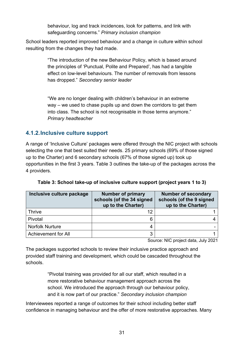behaviour, log and track incidences, look for patterns, and link with safeguarding concerns." *Primary inclusion champion*

School leaders reported improved behaviour and a change in culture within school resulting from the changes they had made.

> "The introduction of the new Behaviour Policy, which is based around the principles of 'Punctual, Polite and Prepared', has had a tangible effect on low-level behaviours. The number of removals from lessons has dropped." *Secondary senior leader*

> "We are no longer dealing with children's behaviour in an extreme way – we used to chase pupils up and down the corridors to get them into class. The school is not recognisable in those terms anymore." *Primary headteacher*

#### <span id="page-30-0"></span>**4.1.2.Inclusive culture support**

A range of 'Inclusive Culture' packages were offered through the NIC project with schools selecting the one that best suited their needs. 25 primary schools (69% of those signed up to the Charter) and 6 secondary schools (67% of those signed up) took up opportunities in the first 3 years. Table 3 outlines the take-up of the packages across the 4 providers.

<span id="page-30-1"></span>

| Inclusive culture package | <b>Number of primary</b><br>schools (of the 34 signed<br>up to the Charter) | <b>Number of secondary</b><br>schools (of the 9 signed<br>up to the Charter) |
|---------------------------|-----------------------------------------------------------------------------|------------------------------------------------------------------------------|
| <b>Thrive</b>             | 12                                                                          |                                                                              |
| Pivotal                   | 6                                                                           |                                                                              |
| <b>Norfolk Nurture</b>    |                                                                             |                                                                              |
| Achievement for All       |                                                                             |                                                                              |

**Table 3: School take-up of inclusive culture support (project years 1 to 3)**

Source: NIC project data, July 2021

The packages supported schools to review their inclusive practice approach and provided staff training and development, which could be cascaded throughout the schools.

> "Pivotal training was provided for all our staff, which resulted in a more restorative behaviour management approach across the school. We introduced the approach through our behaviour policy, and it is now part of our practice." *Secondary inclusion champion*

Interviewees reported a range of outcomes for their school including better staff confidence in managing behaviour and the offer of more restorative approaches. Many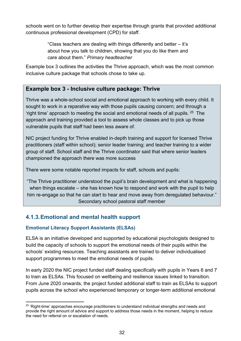schools went on to further develop their expertise through grants that provided additional continuous professional development (CPD) for staff.

> "Class teachers are dealing with things differently and better – it's about how you talk to children, showing that you do like them and care about them." *Primary headteacher*

Example box 3 outlines the activities the Thrive approach, which was the most common inclusive culture package that schools chose to take up.

#### **Example box 3 - Inclusive culture package: Thrive**

Thrive was a whole-school social and emotional approach to working with every child. It sought to work in a reparative way with those pupils causing concern; and through a 'right time' approach to meeting the social and emotional needs of all pupils. [25](#page-31-1) The approach and training provided a tool to assess whole classes and to pick up those vulnerable pupils that staff had been less aware of.

NIC project funding for Thrive enabled in-depth training and support for licensed Thrive practitioners (staff within school); senior leader training; and teacher training to a wider group of staff. School staff and the Thrive coordinator said that where senior leaders championed the approach there was more success

There were some notable reported impacts for staff, schools and pupils:

"The Thrive practitioner understood the pupil's brain development and what is happening when things escalate – she has known how to respond and work with the pupil to help him re-engage so that he can start to hear and move away from deregulated behaviour." Secondary school pastoral staff member

## <span id="page-31-0"></span>**4.1.3.Emotional and mental health support**

#### **Emotional Literacy Support Assistants (ELSAs)**

ELSA is an initiative developed and supported by educational psychologists designed to build the capacity of schools to support the emotional needs of their pupils within the schools' existing resources. Teaching assistants are trained to deliver individualised support programmes to meet the emotional needs of pupils.

In early 2020 the NIC project funded staff dealing specifically with pupils in Years 6 and 7 to train as ELSAs. This focused on wellbeing and resilience issues linked to transition. From June 2020 onwards, the project funded additional staff to train as ELSAs to support pupils across the school who experienced temporary or longer-term additional emotional

<span id="page-31-1"></span> $25$  'Right-time' approaches encourage practitioners to understand individual strengths and needs and provide the right amount of advice and support to address those needs in the moment, helping to reduce the need for referral on or escalation of needs.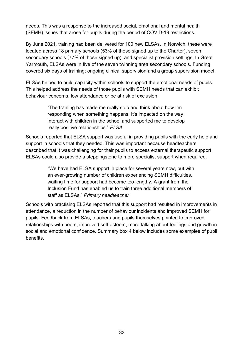needs. This was a response to the increased social, emotional and mental health (SEMH) issues that arose for pupils during the period of COVID-19 restrictions.

By June 2021, training had been delivered for 100 new ELSAs. In Norwich, these were located across 18 primary schools (53% of those signed up to the Charter), seven secondary schools (77% of those signed up), and specialist provision settings. In Great Yarmouth, ELSAs were in five of the seven twinning area secondary schools. Funding covered six days of training; ongoing clinical supervision and a group supervision model.

ELSAs helped to build capacity within schools to support the emotional needs of pupils. This helped address the needs of those pupils with SEMH needs that can exhibit behaviour concerns, low attendance or be at risk of exclusion.

> "The training has made me really stop and think about how I'm responding when something happens. It's impacted on the way I interact with children in the school and supported me to develop really positive relationships." *ELSA*

Schools reported that ELSA support was useful in providing pupils with the early help and support in schools that they needed. This was important because headteachers described that it was challenging for their pupils to access external therapeutic support. ELSAs could also provide a steppingstone to more specialist support when required.

> "We have had ELSA support in place for several years now, but with an ever-growing number of children experiencing SEMH difficulties, waiting time for support had become too lengthy. A grant from the Inclusion Fund has enabled us to train three additional members of staff as ELSAs." *Primary headteacher*

Schools with practising ELSAs reported that this support had resulted in improvements in attendance, a reduction in the number of behaviour incidents and improved SEMH for pupils. Feedback from ELSAs, teachers and pupils themselves pointed to improved relationships with peers, improved self-esteem, more talking about feelings and growth in social and emotional confidence. Summary box 4 below includes some examples of pupil benefits.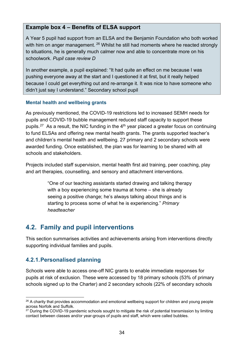#### **Example box 4 – Benefits of ELSA support**

A Year 5 pupil had support from an ELSA and the Benjamin Foundation who both worked with him on anger management. <sup>[26](#page-33-2)</sup> Whilst he still had moments where he reacted strongly to situations, he is generally much calmer now and able to concentrate more on his schoolwork. *Pupil case review D*

In another example, a pupil explained: "It had quite an effect on me because I was pushing everyone away at the start and I questioned it at first, but it really helped because I could get everything out and re-arrange it. It was nice to have someone who didn't just say I understand." Secondary school pupil

#### **Mental health and wellbeing grants**

As previously mentioned, the COVID-19 restrictions led to increased SEMH needs for pupils and COVID-19 bubble management reduced staff capacity to support these pupils.<sup>27</sup> As a result, the NIC funding in the  $4<sup>th</sup>$  year placed a greater focus on continuing to fund ELSAs and offering new mental health grants. The grants supported teacher's and children's mental health and wellbeing. 27 primary and 2 secondary schools were awarded funding. Once established, the plan was for learning to be shared with all schools and stakeholders.

Projects included staff supervision, mental health first aid training, peer coaching, play and art therapies, counselling, and sensory and attachment interventions.

> "One of our teaching assistants started drawing and talking therapy with a boy experiencing some trauma at home – she is already seeing a positive change; he's always talking about things and is starting to process some of what he is experiencing." *Primary headteacher*

# <span id="page-33-0"></span>**4.2. Family and pupil interventions**

This section summarises activities and achievements arising from interventions directly supporting individual families and pupils.

## <span id="page-33-1"></span>**4.2.1.Personalised planning**

Schools were able to access one-off NIC grants to enable immediate responses for pupils at risk of exclusion. These were accessed by 18 primary schools (53% of primary schools signed up to the Charter) and 2 secondary schools (22% of secondary schools

<span id="page-33-2"></span><sup>&</sup>lt;sup>26</sup> A charity that provides accommodation and emotional wellbeing support for children and young people across Norfolk and Suffolk.

<span id="page-33-3"></span><sup>&</sup>lt;sup>27</sup> During the COVID-19 pandemic schools sought to mitigate the risk of potential transmission by limiting contact between classes and/or year-groups of pupils and staff, which were called bubbles.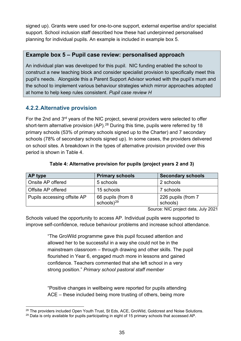signed up). Grants were used for one-to-one support, external expertise and/or specialist support. School inclusion staff described how these had underpinned personalised planning for individual pupils. An example is included in example box 5.

#### **Example box 5 – Pupil case review: personalised approach**

An individual plan was developed for this pupil. NIC funding enabled the school to construct a new teaching block and consider specialist provision to specifically meet this pupil's needs. Alongside this a Parent Support Advisor worked with the pupil's mum and the school to implement various behaviour strategies which mirror approaches adopted at home to help keep rules consistent. *Pupil case review H*

#### <span id="page-34-0"></span>**4.2.2.Alternative provision**

For the 2nd and 3<sup>rd</sup> years of the NIC project, several providers were selected to offer short-term alternative provision (AP).<sup>[28](#page-34-2)</sup> During this time, pupils were referred by 18 primary schools (53% of primary schools signed up to the Charter) and 7 secondary schools (78% of secondary schools signed up). In some cases, the providers delivered on school sites. A breakdown in the types of alternative provision provided over this period is shown in Table 4.

<span id="page-34-1"></span>

| AP type                     | <b>Primary schools</b>                | <b>Secondary schools</b>       |
|-----------------------------|---------------------------------------|--------------------------------|
| Onsite AP offered           | 5 schools                             | 2 schools                      |
| Offsite AP offered          | 15 schools                            | 7 schools                      |
| Pupils accessing offsite AP | 66 pupils (from 8<br>schools) $^{29}$ | 226 pupils (from 7<br>schools) |

#### **Table 4: Alternative provision for pupils (project years 2 and 3)**

Source: NIC project data, July 2021

Schools valued the opportunity to access AP. Individual pupils were supported to improve self-confidence, reduce behaviour problems and increase school attendance.

> "The GroWild programme gave this pupil focused attention and allowed her to be successful in a way she could not be in the mainstream classroom – through drawing and other skills. The pupil flourished in Year 6, engaged much more in lessons and gained confidence. Teachers commented that she left school in a very strong position." *Primary school pastoral staff member*

"Positive changes in wellbeing were reported for pupils attending ACE – these included being more trusting of others, being more

<span id="page-34-2"></span><sup>&</sup>lt;sup>28</sup> The providers included Open Youth Trust, St Eds, ACE, GroWild, Goldcrest and Noise Solutions.

<span id="page-34-3"></span><sup>&</sup>lt;sup>29</sup> Data is only available for pupils participating in eight of 15 primary schools that accessed AP.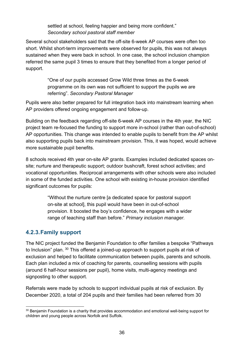settled at school, feeling happier and being more confident." *Secondary school pastoral staff member*

Several school stakeholders said that the off-site 6-week AP courses were often too short. Whilst short-term improvements were observed for pupils, this was not always sustained when they were back in school. In one case, the school inclusion champion referred the same pupil 3 times to ensure that they benefited from a longer period of support.

> "One of our pupils accessed Grow Wild three times as the 6-week programme on its own was not sufficient to support the pupils we are referring". *Secondary Pastoral Manager*

Pupils were also better prepared for full integration back into mainstream learning when AP providers offered ongoing engagement and follow-up.

Building on the feedback regarding off-site 6-week AP courses in the 4th year, the NIC project team re-focused the funding to support more in-school (rather than out-of-school) AP opportunities. This change was intended to enable pupils to benefit from the AP whilst also supporting pupils back into mainstream provision. This, it was hoped, would achieve more sustainable pupil benefits.

8 schools received 4th year on-site AP grants. Examples included dedicated spaces onsite; nurture and therapeutic support; outdoor bushcraft, forest school activities; and vocational opportunities. Reciprocal arrangements with other schools were also included in some of the funded activities. One school with existing in-house provision identified significant outcomes for pupils:

> "Without the nurture centre [a dedicated space for pastoral support on-site at school], this pupil would have been in out-of-school provision. It boosted the boy's confidence, he engages with a wider range of teaching staff than before." *Primary inclusion manager.*

#### <span id="page-35-0"></span>**4.2.3.Family support**

The NIC project funded the Benjamin Foundation to offer families a bespoke "Pathways to Inclusion" plan. <sup>[30](#page-35-1)</sup> This offered a joined-up approach to support pupils at risk of exclusion and helped to facilitate communication between pupils, parents and schools. Each plan included a mix of coaching for parents, counselling sessions with pupils (around 6 half-hour sessions per pupil), home visits, multi-agency meetings and signposting to other support.

Referrals were made by schools to support individual pupils at risk of exclusion. By December 2020, a total of 204 pupils and their families had been referred from 30

<span id="page-35-1"></span><sup>&</sup>lt;sup>30</sup> Benjamin Foundation is a charity that provides accommodation and emotional well-being support for children and young people across Norfolk and Suffolk.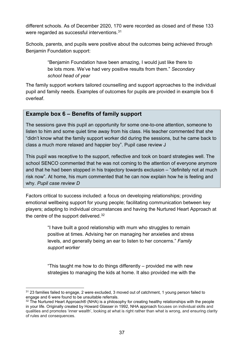different schools. As of December 2020, 170 were recorded as closed and of these 133 were regarded as successful interventions.<sup>31</sup>

Schools, parents, and pupils were positive about the outcomes being achieved through Benjamin Foundation support:

> "Benjamin Foundation have been amazing, I would just like there to be lots more. We've had very positive results from them." *Secondary school head of year*

The family support workers tailored counselling and support approaches to the individual pupil and family needs. Examples of outcomes for pupils are provided in example box 6 overleaf.

## **Example box 6 – Benefits of family support**

The sessions gave this pupil an opportunity for some one-to-one attention, someone to listen to him and some quiet time away from his class. His teacher commented that she "didn't know what the family support worker did during the sessions, but he came back to class a much more relaxed and happier boy". Pupil case review J

This pupil was receptive to the support, reflective and took on board strategies well. The school SENCO commented that he was not coming to the attention of everyone anymore and that he had been stopped in his trajectory towards exclusion – "definitely not at much risk now". At home, his mum commented that he can now explain how he is feeling and why. *Pupil case review D*

Factors critical to success included: a focus on developing relationships; providing emotional wellbeing support for young people; facilitating communication between key players; adapting to individual circumstances and having the Nurtured Heart Approach at the centre of the support delivered.<sup>[32](#page-36-1)</sup>

> "I have built a good relationship with mum who struggles to remain positive at times. Advising her on managing her anxieties and stress levels, and generally being an ear to listen to her concerns." *Family support worker*

> "This taught me how to do things differently – provided me with new strategies to managing the kids at home. It also provided me with the

<span id="page-36-0"></span> $31$  23 families failed to engage, 2 were excluded, 3 moved out of catchment, 1 young person failed to engage and 6 were found to be unsuitable referrals.

<span id="page-36-1"></span> $32$  The Nurtured Heart Approach $\circledR$  (NHA) is a philosophy for creating healthy relationships with the people in your life. Originally created by Howard Glasser in 1992, NHA approach focuses on individual skills and qualities and promotes 'inner wealth', looking at what is right rather than what is wrong, and ensuring clarity of rules and consequences.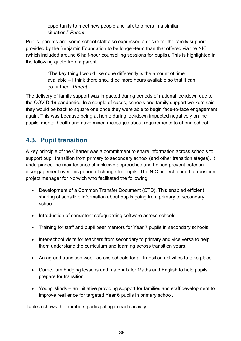opportunity to meet new people and talk to others in a similar situation." *Parent*

Pupils, parents and some school staff also expressed a desire for the family support provided by the Benjamin Foundation to be longer-term than that offered via the NIC (which included around 6 half-hour counselling sessions for pupils). This is highlighted in the following quote from a parent:

> "The key thing I would like done differently is the amount of time available – I think there should be more hours available so that it can go further." *Parent*

The delivery of family support was impacted during periods of national lockdown due to the COVID-19 pandemic. In a couple of cases, schools and family support workers said they would be back to square one once they were able to begin face-to-face engagement again. This was because being at home during lockdown impacted negatively on the pupils' mental health and gave mixed messages about requirements to attend school.

## **4.3. Pupil transition**

A key principle of the Charter was a commitment to share information across schools to support pupil transition from primary to secondary school (and other transition stages). It underpinned the maintenance of inclusive approaches and helped prevent potential disengagement over this period of change for pupils. The NIC project funded a transition project manager for Norwich who facilitated the following:

- Development of a Common Transfer Document (CTD). This enabled efficient sharing of sensitive information about pupils going from primary to secondary school.
- Introduction of consistent safeguarding software across schools.
- Training for staff and pupil peer mentors for Year 7 pupils in secondary schools.
- Inter-school visits for teachers from secondary to primary and vice versa to help them understand the curriculum and learning across transition years.
- An agreed transition week across schools for all transition activities to take place.
- Curriculum bridging lessons and materials for Maths and English to help pupils prepare for transition.
- Young Minds an initiative providing support for families and staff development to improve resilience for targeted Year 6 pupils in primary school.

Table 5 shows the numbers participating in each activity.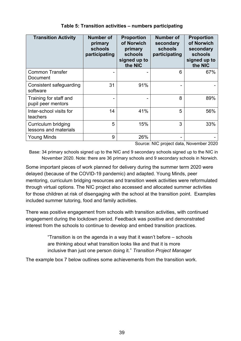| <b>Transition Activity</b>                   | <b>Number of</b><br>primary<br>schools<br>participating | <b>Proportion</b><br>of Norwich<br>primary<br>schools<br>signed up to<br>the NIC | <b>Number of</b><br>secondary<br>schools<br>participating | <b>Proportion</b><br>of Norwich<br>secondary<br>schools<br>signed up to<br>the NIC |
|----------------------------------------------|---------------------------------------------------------|----------------------------------------------------------------------------------|-----------------------------------------------------------|------------------------------------------------------------------------------------|
| <b>Common Transfer</b><br>Document           |                                                         |                                                                                  | 6                                                         | 67%                                                                                |
| Consistent safeguarding<br>software          | 31                                                      | 91%                                                                              |                                                           |                                                                                    |
| Training for staff and<br>pupil peer mentors |                                                         |                                                                                  | 8                                                         | 89%                                                                                |
| Inter-school visits for<br>teachers          | 14                                                      | 41%                                                                              | 5                                                         | 56%                                                                                |
| Curriculum bridging<br>lessons and materials | 5                                                       | 15%                                                                              | 3                                                         | 33%                                                                                |
| <b>Young Minds</b>                           | 9                                                       | 26%                                                                              |                                                           |                                                                                    |

### **Table 5: Transition activities – numbers participating**

Source: NIC project data, November 2020

Base: 34 primary schools signed up to the NIC and 9 secondary schools signed up to the NIC in November 2020. Note: there are 36 primary schools and 9 secondary schools in Norwich.

Some important pieces of work planned for delivery during the summer term 2020 were delayed (because of the COVID-19 pandemic) and adapted. Young Minds, peer mentoring, curriculum bridging resources and transition week activities were reformulated through virtual options. The NIC project also accessed and allocated summer activities for those children at risk of disengaging with the school at the transition point. Examples included summer tutoring, food and family activities.

There was positive engagement from schools with transition activities, with continued engagement during the lockdown period. Feedback was positive and demonstrated interest from the schools to continue to develop and embed transition practices.

> "Transition is on the agenda in a way that it wasn't before – schools are thinking about what transition looks like and that it is more inclusive than just one person doing it." *Transition Project Manager*

The example box 7 below outlines some achievements from the transition work.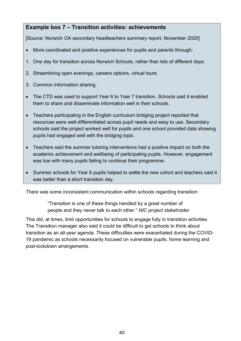## **Example box 7 – Transition activities: achievements**

[Source: Norwich OA secondary headteachers summary report, November 2020]

- More coordinated and positive experiences for pupils and parents through:
- 1. One day for transition across Norwich Schools, rather than lots of different days.
- 2. Streamlining open evenings, careers options, virtual tours.
- 3. Common information sharing.
- The CTD was used to support Year 6 to Year 7 transition. Schools said it enabled them to share and disseminate information well in their schools.
- Teachers participating in the English curriculum bridging project reported that resources were well-differentiated across pupil needs and easy to use. Secondary schools said the project worked well for pupils and one school provided data showing pupils had engaged well with the bridging topic.
- Teachers said the summer tutoring interventions had a positive impact on both the academic achievement and wellbeing of participating pupils. However, engagement was low with many pupils failing to continue their programme.
- Summer schools for Year 6 pupils helped to settle the new cohort and teachers said it was better than a short transition day.

There was some inconsistent communication within schools regarding transition:

"Transition is one of these things handled by a great number of people and they never talk to each other." *NIC project stakeholder*

This did, at times, limit opportunities for schools to engage fully in transition activities. The Transition manager also said it could be difficult to get schools to think about transition as an all-year agenda. These difficulties were exacerbated during the COVID-19 pandemic as schools necessarily focused on vulnerable pupils, home learning and post-lockdown arrangements.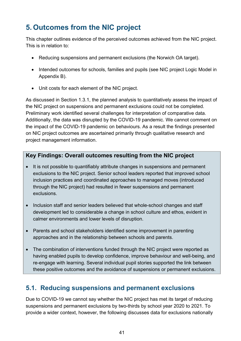# **5. Outcomes from the NIC project**

This chapter outlines evidence of the perceived outcomes achieved from the NIC project. This is in relation to:

- Reducing suspensions and permanent exclusions (the Norwich OA target).
- Intended outcomes for schools, families and pupils (see NIC project Logic Model in Appendix B).
- Unit costs for each element of the NIC project.

As discussed in Section 1.3.1, the planned analysis to quantitatively assess the impact of the NIC project on suspensions and permanent exclusions could not be completed. Preliminary work identified several challenges for interpretation of comparative data. Additionally, the data was disrupted by the COVID-19 pandemic. We cannot comment on the impact of the COVID-19 pandemic on behaviours. As a result the findings presented on NIC project outcomes are ascertained primarily through qualitative research and project management information.

## **Key Findings: Overall outcomes resulting from the NIC project**

- It is not possible to quantifiably attribute changes in suspensions and permanent exclusions to the NIC project. Senior school leaders reported that improved school inclusion practices and coordinated approaches to managed moves (introduced through the NIC project) had resulted in fewer suspensions and permanent exclusions.
- Inclusion staff and senior leaders believed that whole-school changes and staff development led to considerable a change in school culture and ethos, evident in calmer environments and lower levels of disruption.
- Parents and school stakeholders identified some improvement in parenting approaches and in the relationship between schools and parents.
- The combination of interventions funded through the NIC project were reported as having enabled pupils to develop confidence, improve behaviour and well-being, and re-engage with learning. Several individual pupil stories supported the link between these positive outcomes and the avoidance of suspensions or permanent exclusions.

## **5.1. Reducing suspensions and permanent exclusions**

Due to COVID-19 we cannot say whether the NIC project has met its target of reducing suspensions and permanent exclusions by two-thirds by school year 2020 to 2021. To provide a wider context, however, the following discusses data for exclusions nationally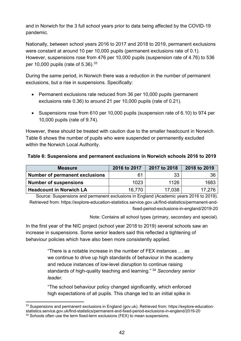and in Norwich for the 3 full school years prior to data being affected by the COVID-19 pandemic.

Nationally, between school years 2016 to 2017 and 2018 to 2019, permanent exclusions were constant at around 10 per 10,000 pupils (permanent exclusions rate of 0.1). However, suspensions rose from 476 per 10,000 pupils (suspension rate of 4.76) to 536 per 10,000 pupils (rate of  $5.36$ ).  $33$ 

During the same period, in Norwich there was a reduction in the number of permanent exclusions, but a rise in suspensions. Specifically:

- Permanent exclusions rate reduced from 36 per 10,000 pupils (permanent exclusions rate 0.36) to around 21 per 10,000 pupils (rate of 0.21).
- Suspensions rose from 610 per 10,000 pupils (suspension rate of 6.10) to 974 per 10,000 pupils (rate of 9.74).

However, these should be treated with caution due to the smaller headcount in Norwich. Table 6 shows the number of pupils who were suspended or permanently excluded within the Norwich Local Authority.

|  |  | Table 6: Suspensions and permanent exclusions in Norwich schools 2016 to 2019 |
|--|--|-------------------------------------------------------------------------------|
|--|--|-------------------------------------------------------------------------------|

| <b>Measure</b>                 | 2016 to 2017 | 2017 to 2018 | 2018 to 2019 |
|--------------------------------|--------------|--------------|--------------|
| Number of permanent exclusions | 61           | 33           | 36           |
| <b>Number of suspensions</b>   | 1023         | 1126         | 1683         |
| <b>Headcount in Norwich LA</b> | 16.770       | 17,038       | 17.276       |

Source: Suspensions and permanent exclusions in England (Academic years 2016 to 2019). Retrieved from: https://explore-education-statistics.service.gov.uk/find-statistics/permanent-andfixed-period-exclusions-in-england/2019-20

Note: Contains all school types (primary, secondary and special).

In the first year of the NIC project (school year 2018 to 2019) several schools saw an increase in suspensions. Some senior leaders said this reflected a tightening of behaviour policies which have also been more consistently applied.

> "There is a notable increase in the number of FEX instances … as we continue to drive up high standards of behaviour in the academy and reduce instances of low-level disruption to continue raising standards of high-quality teaching and learning." [34](#page-41-1) *Secondary senior leader.*

"The school behaviour policy changed significantly, which enforced high expectations of all pupils. This change led to an initial spike in

<span id="page-41-0"></span><sup>33</sup> Suspensions and permanent exclusions in England (gov.uk). Retrieved from: https://explore-educationstatistics.service.gov.uk/find-statistics/permanent-and-fixed-period-exclusions-in-england/2019-20

<span id="page-41-1"></span> $34$  Schools often use the term fixed-term exclusions (FEX) to mean suspensions.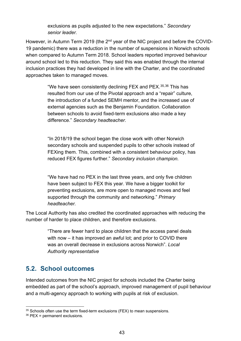exclusions as pupils adjusted to the new expectations." *Secondary senior leader.*

However, in Autumn Term 2019 (the 2<sup>nd</sup> year of the NIC project and before the COVID-19 pandemic) there was a reduction in the number of suspensions in Norwich schools when compared to Autumn Term 2018. School leaders reported improved behaviour around school led to this reduction. They said this was enabled through the internal inclusion practices they had developed in line with the Charter, and the coordinated approaches taken to managed moves.

> "We have seen consistently declining FEX and PEX.<sup>[35](#page-42-0),[36](#page-42-1)</sup> This has resulted from our use of the Pivotal approach and a "repair" culture, the introduction of a funded SEMH mentor, and the increased use of external agencies such as the Benjamin Foundation. Collaboration between schools to avoid fixed-term exclusions also made a key difference." *Secondary headteacher.*

> "In 2018/19 the school began the close work with other Norwich secondary schools and suspended pupils to other schools instead of FEXing them. This, combined with a consistent behaviour policy, has reduced FEX figures further." *Secondary inclusion champion.*

"We have had no PEX in the last three years, and only five children have been subject to FEX this year. We have a bigger toolkit for preventing exclusions, are more open to managed moves and feel supported through the community and networking." *Primary headteacher.* 

The Local Authority has also credited the coordinated approaches with reducing the number of harder to place children, and therefore exclusions.

> "There are fewer hard to place children that the access panel deals with now – it has improved an awful lot; and prior to COVID there was an overall decrease in exclusions across Norwich". *Local Authority representative*

## **5.2. School outcomes**

Intended outcomes from the NIC project for schools included the Charter being embedded as part of the school's approach, improved management of pupil behaviour and a multi-agency approach to working with pupils at risk of exclusion.

<span id="page-42-0"></span><sup>&</sup>lt;sup>35</sup> Schools often use the term fixed-term exclusions (FEX) to mean suspensions.

<span id="page-42-1"></span><sup>36</sup> PEX = permanent exclusions.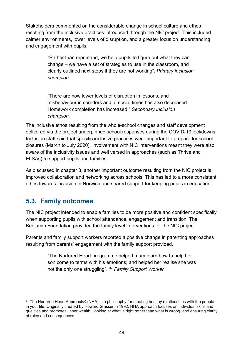Stakeholders commented on the considerable change in school culture and ethos resulting from the inclusive practices introduced through the NIC project. This included calmer environments, lower levels of disruption, and a greater focus on understanding and engagement with pupils.

> "Rather than reprimand, we help pupils to figure out what they can change – we have a set of strategies to use in the classroom, and clearly outlined next steps if they are not working". *Primary inclusion champion.*

"There are now lower levels of disruption in lessons, and misbehaviour in corridors and at social times has also decreased. Homework completion has increased." *Secondary inclusion champion.*

The inclusive ethos resulting from the whole-school changes and staff development delivered via the project underpinned school responses during the COVID-19 lockdowns. Inclusion staff said that specific inclusive practices were important to prepare for school closures (March to July 2020). Involvement with NIC interventions meant they were also aware of the inclusivity issues and well versed in approaches (such as Thrive and ELSAs) to support pupils and families.

As discussed in chapter 3, another important outcome resulting from the NIC project is improved collaboration and networking across schools. This has led to a more consistent ethos towards inclusion in Norwich and shared support for keeping pupils in education.

## **5.3. Family outcomes**

The NIC project intended to enable families to be more positive and confident specifically when supporting pupils with school attendance, engagement and transition. The Benjamin Foundation provided the family level interventions for the NIC project.

Parents and family support workers reported a positive change in parenting approaches resulting from parents' engagement with the family support provided.

> "The Nurtured Heart programme helped mum learn how to help her son come to terms with his emotions; and helped her realise she was not the only one struggling". [37](#page-43-0) *Family Support Worker*

<span id="page-43-0"></span><sup>37</sup> The Nurtured Heart Approach® (NHA) is a philosophy for creating healthy relationships with the people in your life. Originally created by Howard Glasser in 1992, NHA approach focuses on individual skills and qualities and promotes 'inner wealth', looking at what is right rather than what is wrong, and ensuring clarity of rules and consequences.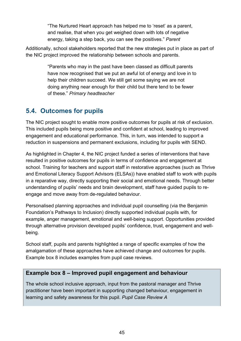"The Nurtured Heart approach has helped me to 'reset' as a parent, and realise, that when you get weighed down with lots of negative energy, taking a step back, you can see the positives." *Parent*

Additionally, school stakeholders reported that the new strategies put in place as part of the NIC project improved the relationship between schools and parents.

> "Parents who may in the past have been classed as difficult parents have now recognised that we put an awful lot of energy and love in to help their children succeed. We still get some saying we are not doing anything near enough for their child but there tend to be fewer of these." *Primary headteacher*

## **5.4. Outcomes for pupils**

The NIC project sought to enable more positive outcomes for pupils at risk of exclusion. This included pupils being more positive and confident at school, leading to improved engagement and educational performance. This, in turn, was intended to support a reduction in suspensions and permanent exclusions, including for pupils with SEND.

As highlighted in Chapter 4, the NIC project funded a series of interventions that have resulted in positive outcomes for pupils in terms of confidence and engagement at school. Training for teachers and support staff in restorative approaches (such as Thrive and Emotional Literacy Support Advisors (ELSAs)) have enabled staff to work with pupils in a reparative way, directly supporting their social and emotional needs. Through better understanding of pupils' needs and brain development, staff have guided pupils to reengage and move away from de-regulated behaviour.

Personalised planning approaches and individual pupil counselling (via the Benjamin Foundation's Pathways to Inclusion) directly supported individual pupils with, for example, anger management, emotional and well-being support. Opportunities provided through alternative provision developed pupils' confidence, trust, engagement and wellbeing.

School staff, pupils and parents highlighted a range of specific examples of how the amalgamation of these approaches have achieved change and outcomes for pupils. Example box 8 includes examples from pupil case reviews.

## **Example box 8 – Improved pupil engagement and behaviour**

The whole school inclusive approach, input from the pastoral manager and Thrive practitioner have been important in supporting changed behaviour, engagement in learning and safety awareness for this pupil. *Pupil Case Review A*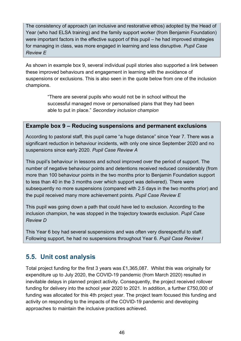The consistency of approach (an inclusive and restorative ethos) adopted by the Head of Year (who had ELSA training) and the family support worker (from Benjamin Foundation) were important factors in the effective support of this pupil – he had improved strategies for managing in class, was more engaged in learning and less disruptive. *Pupil Case Review E*

As shown in example box 9, several individual pupil stories also supported a link between these improved behaviours and engagement in learning with the avoidance of suspensions or exclusions. This is also seen in the quote below from one of the inclusion champions.

> "There are several pupils who would not be in school without the successful managed move or personalised plans that they had been able to put in place." *Secondary inclusion champion*

### **Example box 9 – Reducing suspensions and permanent exclusions**

According to pastoral staff, this pupil came "a huge distance" since Year 7. There was a significant reduction in behaviour incidents, with only one since September 2020 and no suspensions since early 2020. *Pupil Case Review A*

This pupil's behaviour in lessons and school improved over the period of support. The number of negative behaviour points and detentions received reduced considerably (from more than 100 behaviour points in the two months prior to Benjamin Foundation support to less than 40 in the 3 months over which support was delivered). There were subsequently no more suspensions (compared with 2.5 days in the two months prior) and the pupil received many more achievement points. *Pupil Case Review E*

This pupil was going down a path that could have led to exclusion. According to the inclusion champion, he was stopped in the trajectory towards exclusion. *Pupil Case Review D*

This Year 6 boy had several suspensions and was often very disrespectful to staff. Following support, he had no suspensions throughout Year 6. *Pupil Case Review I*

## **5.5. Unit cost analysis**

Total project funding for the first 3 years was £1,365,087. Whilst this was originally for expenditure up to July 2020, the COVID-19 pandemic (from March 2020) resulted in inevitable delays in planned project activity. Consequently, the project received rollover funding for delivery into the school year 2020 to 2021. In addition, a further £750,000 of funding was allocated for this 4th project year. The project team focused this funding and activity on responding to the impacts of the COVID-19 pandemic and developing approaches to maintain the inclusive practices achieved.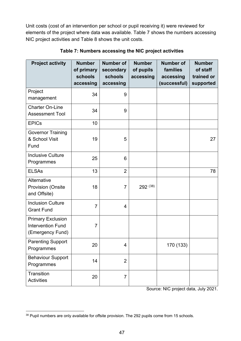Unit costs (cost of an intervention per school or pupil receiving it) were reviewed for elements of the project where data was available. Table 7 shows the numbers accessing NIC project activities and Table 8 shows the unit costs.

| <b>Project activity</b>                                                  | <b>Number</b><br>of primary<br>schools<br>accessing | <b>Number of</b><br>secondary<br>schools<br>accessing | <b>Number</b><br>of pupils<br>accessing | <b>Number of</b><br>families<br>accessing<br>(successful) | <b>Number</b><br>of staff<br>trained or<br>supported |
|--------------------------------------------------------------------------|-----------------------------------------------------|-------------------------------------------------------|-----------------------------------------|-----------------------------------------------------------|------------------------------------------------------|
| Project<br>management                                                    | 34                                                  | 9                                                     |                                         |                                                           |                                                      |
| <b>Charter On-Line</b><br><b>Assessment Tool</b>                         | 34                                                  | 9                                                     |                                         |                                                           |                                                      |
| <b>EPICs</b>                                                             | 10                                                  |                                                       |                                         |                                                           |                                                      |
| <b>Governor Training</b><br>& School Visit<br>Fund                       | 19                                                  | 5                                                     |                                         |                                                           | 27                                                   |
| <b>Inclusive Culture</b><br>Programmes                                   | 25                                                  | 6                                                     |                                         |                                                           |                                                      |
| <b>ELSAs</b>                                                             | 13                                                  | $\overline{2}$                                        |                                         |                                                           | 78                                                   |
| Alternative<br><b>Provision (Onsite</b><br>and Offsite)                  | 18                                                  | $\overline{7}$                                        | 292 (38)                                |                                                           |                                                      |
| <b>Inclusion Culture</b><br><b>Grant Fund</b>                            | $\overline{7}$                                      | 4                                                     |                                         |                                                           |                                                      |
| <b>Primary Exclusion</b><br><b>Intervention Fund</b><br>(Emergency Fund) | $\overline{7}$                                      |                                                       |                                         |                                                           |                                                      |
| <b>Parenting Support</b><br>Programmes                                   | 20                                                  | 4                                                     |                                         | 170 (133)                                                 |                                                      |
| <b>Behaviour Support</b><br>Programmes                                   | 14                                                  | $\overline{2}$                                        |                                         |                                                           |                                                      |
| Transition<br><b>Activities</b>                                          | 20                                                  | $\overline{7}$                                        |                                         |                                                           |                                                      |

**Table 7: Numbers accessing the NIC project activities**

Source: NIC project data, July 2021.

<span id="page-46-0"></span><sup>&</sup>lt;sup>38</sup> Pupil numbers are only available for offsite provision. The 292 pupils come from 15 schools.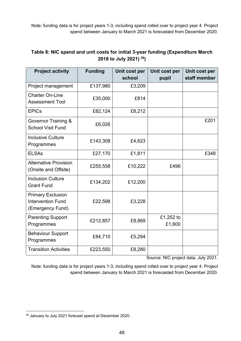Note: funding data is for project years 1-3, including spend rolled over to project year 4. Project spend between January to March 2021 is forecasted from December 2020.

| <b>Project activity</b>                                                  | <b>Funding</b> | Unit cost per | Unit cost per       | Unit cost per |
|--------------------------------------------------------------------------|----------------|---------------|---------------------|---------------|
|                                                                          |                | school        | pupil               | staff member  |
| Project management                                                       | £137,980       | £3,209        |                     |               |
| <b>Charter On-Line</b><br><b>Assessment Tool</b>                         | £35,000        | £814          |                     |               |
| <b>EPICs</b>                                                             | £82,124        | £8,212        |                     |               |
| <b>Governor Training &amp;</b><br><b>School Visit Fund</b>               | £6,026         |               |                     | £201          |
| <b>Inclusive Culture</b><br>Programmes                                   | £143,308       | £4,623        |                     |               |
| <b>ELSAs</b>                                                             | £27,170        | £1,811        |                     | £348          |
| <b>Alternative Provision</b><br>(Onsite and Offsite)                     | £255,558       | £10,222       | £496                |               |
| <b>Inclusion Culture</b><br><b>Grant Fund</b>                            | £134,202       | £12,200       |                     |               |
| <b>Primary Exclusion</b><br><b>Intervention Fund</b><br>(Emergency Fund) | £22,598        | £3,228        |                     |               |
| <b>Parenting Support</b><br>Programmes                                   | £212,857       | £8,869        | £1,252 to<br>£1,600 |               |
| <b>Behaviour Support</b><br>Programmes                                   | £84,710        | £5,294        |                     |               |
| <b>Transition Activities</b>                                             | £223,550       | £8,280        |                     |               |

## **Table 8: NIC spend and unit costs for initial 3-year funding (Expenditure March 2018 to July 2021) [39](#page-47-0))**

Source: NIC project data, July 2021.

Note: funding data is for project years 1-3, including spend rolled over to project year 4. Project spend between January to March 2021 is forecasted from December 2020.

<span id="page-47-0"></span><sup>39</sup> January to July 2021 forecast spend at December 2020.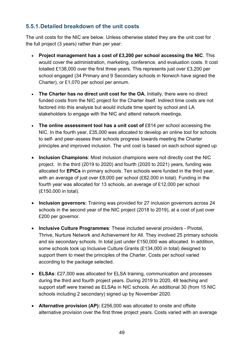## **5.5.1.Detailed breakdown of the unit costs**

The unit costs for the NIC are below. Unless otherwise stated they are the unit cost for the full project (3 years) rather than per year:

- **Project management has a cost of £3,200 per school accessing the NIC**. This would cover the administration, marketing, conference, and evaluation costs. It cost totalled £138,000 over the first three years. This represents just over £3,200 per school engaged (34 Primary and 9 Secondary schools in Norwich have signed the Charter), or £1,070 per school per annum.
- **The Charter has no direct unit cost for the OA.** Initially, there were no direct funded costs from the NIC project for the Charter itself. Indirect time costs are not factored into this analysis but would include time spent by school and LA stakeholders to engage with the NIC and attend network meetings.
- The online assessment tool has a unit cost of £814 per school accessing the NIC. In the fourth year, £35,000 was allocated to develop an online tool for schools to self- and peer-assess their schools progress towards meeting the Charter principles and improved inclusion. The unit cost is based on each school signed up
- **Inclusion Champions**: Most inclusion champions were not directly cost the NIC project. In the third (2019 to 2020) and fourth (2020 to 2021) years, funding was allocated for **EPICs** in primary schools. Ten schools were funded in the third year, with an average of just over £8,000 per school (£82,000 in total). Funding in the fourth year was allocated for 13 schools, an average of £12,000 per school (£150,000 in total).
- **Inclusion governors:** Training was provided for 27 inclusion governors across 24 schools in the second year of the NIC project (2018 to 2019), at a cost of just over £200 per governor.
- **Inclusive Culture Programmes**: These included several providers Pivotal, Thrive, Nurture Network and Achievement for All. They involved 25 primary schools and six secondary schools. In total just under £150,000 was allocated. In addition, some schools took up Inclusive Culture Grants (£134,000 in total) designed to support them to meet the principles of the Charter. Costs per school varied according to the package selected.
- **ELSAs**: £27,000 was allocated for ELSA training, communication and processes during the third and fourth project years. During 2019 to 2020, 48 teaching and support staff were trained as ELSAs in NIC schools. An additional 30 (from 15 NIC schools including 2 secondary) signed up by November 2020.
- **Alternative provision (AP):** £256,000 was allocated to onsite and offsite alternative provision over the first three project years. Costs varied with an average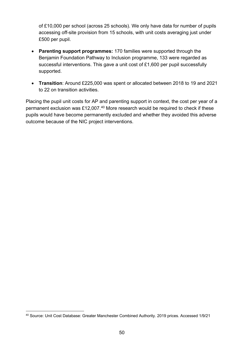of £10,000 per school (across 25 schools). We only have data for number of pupils accessing off-site provision from 15 schools, with unit costs averaging just under £500 per pupil.

- **Parenting support programmes:** 170 families were supported through the Benjamin Foundation Pathway to Inclusion programme, 133 were regarded as successful interventions. This gave a unit cost of £1,600 per pupil successfully supported.
- **Transition**: Around £225,000 was spent or allocated between 2018 to 19 and 2021 to 22 on transition activities.

Placing the pupil unit costs for AP and parenting support in context, the cost per year of a permanent exclusion was £12,007.<sup>[40](#page-49-0)</sup> More research would be required to check if these pupils would have become permanently excluded and whether they avoided this adverse outcome because of the NIC project interventions.

<span id="page-49-0"></span><sup>40</sup> Source: Unit Cost Database: Greater Manchester Combined Authority. 2019 prices. Accessed 1/9/21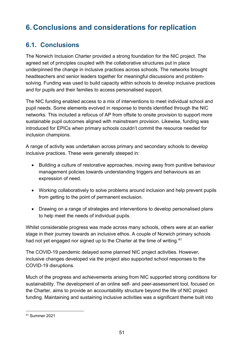# **6. Conclusions and considerations for replication**

## **6.1. Conclusions**

The Norwich Inclusion Charter provided a strong foundation for the NIC project. The agreed set of principles coupled with the collaborative structures put in place underpinned the change in inclusive practices across schools. The networks brought headteachers and senior leaders together for meaningful discussions and problemsolving. Funding was used to build capacity within schools to develop inclusive practices and for pupils and their families to access personalised support.

The NIC funding enabled access to a mix of interventions to meet individual school and pupil needs. Some elements evolved in response to trends identified through the NIC networks. This included a refocus of AP from offsite to onsite provision to support more sustainable pupil outcomes aligned with mainstream provision. Likewise, funding was introduced for EPICs when primary schools couldn't commit the resource needed for inclusion champions.

A range of activity was undertaken across primary and secondary schools to develop inclusive practices. These were generally steeped in:

- Building a culture of restorative approaches, moving away from punitive behaviour management policies towards understanding triggers and behaviours as an expression of need.
- Working collaboratively to solve problems around inclusion and help prevent pupils from getting to the point of permanent exclusion.
- Drawing on a range of strategies and interventions to develop personalised plans to help meet the needs of individual pupils.

Whilst considerable progress was made across many schools, others were at an earlier stage in their journey towards an inclusive ethos. A couple of Norwich primary schools had not yet engaged nor signed up to the Charter at the time of writing.<sup>[41](#page-50-0)</sup>

The COVID-19 pandemic delayed some planned NIC project activities. However, inclusive changes developed via the project also supported school responses to the COVID-19 disruptions.

Much of the progress and achievements arising from NIC supported strong conditions for sustainability. The development of an online self- and peer-assessment tool, focused on the Charter, aims to provide an accountability structure beyond the life of NIC project funding. Maintaining and sustaining inclusive activities was a significant theme built into

<span id="page-50-0"></span><sup>41</sup> Summer 2021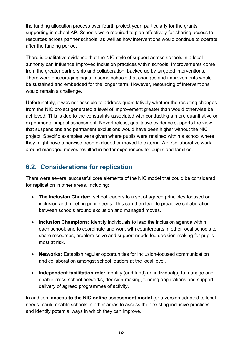the funding allocation process over fourth project year, particularly for the grants supporting in-school AP. Schools were required to plan effectively for sharing access to resources across partner schools; as well as how interventions would continue to operate after the funding period.

There is qualitative evidence that the NIC style of support across schools in a local authority can influence improved inclusion practices within schools. Improvements come from the greater partnership and collaboration, backed up by targeted interventions. There were encouraging signs in some schools that changes and improvements would be sustained and embedded for the longer term. However, resourcing of interventions would remain a challenge.

Unfortunately, it was not possible to address quantitatively whether the resulting changes from the NIC project generated a level of improvement greater than would otherwise be achieved. This is due to the constraints associated with conducting a more quantitative or experimental impact assessment. Nevertheless, qualitative evidence supports the view that suspensions and permanent exclusions would have been higher without the NIC project. Specific examples were given where pupils were retained within a school where they might have otherwise been excluded or moved to external AP. Collaborative work around managed moves resulted in better experiences for pupils and families.

## **6.2. Considerations for replication**

There were several successful core elements of the NIC model that could be considered for replication in other areas, including:

- **The Inclusion Charter:** school leaders to a set of agreed principles focused on inclusion and meeting pupil needs. This can then lead to proactive collaboration between schools around exclusion and managed moves.
- **Inclusion Champions:** Identify individuals to lead the inclusion agenda within each school; and to coordinate and work with counterparts in other local schools to share resources, problem-solve and support needs-led decision-making for pupils most at risk.
- **Networks:** Establish regular opportunities for inclusion-focused communication and collaboration amongst school leaders at the local level.
- **Independent facilitation role:** Identify (and fund) an individual(s) to manage and enable cross-school networks, decision-making, funding applications and support delivery of agreed programmes of activity.

In addition, **access to the NIC online assessment model** (or a version adapted to local needs) could enable schools in other areas to assess their existing inclusive practices and identify potential ways in which they can improve.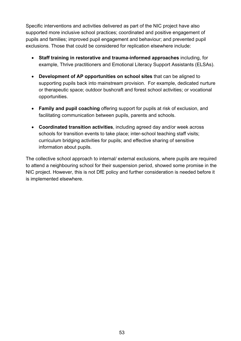Specific interventions and activities delivered as part of the NIC project have also supported more inclusive school practices; coordinated and positive engagement of pupils and families; improved pupil engagement and behaviour; and prevented pupil exclusions. Those that could be considered for replication elsewhere include:

- **Staff training in restorative and trauma-informed approaches** including, for example, Thrive practitioners and Emotional Literacy Support Assistants (ELSAs).
- **Development of AP opportunities on school sites** that can be aligned to supporting pupils back into mainstream provision. For example, dedicated nurture or therapeutic space; outdoor bushcraft and forest school activities; or vocational opportunities.
- **Family and pupil coaching** offering support for pupils at risk of exclusion, and facilitating communication between pupils, parents and schools.
- **Coordinated transition activities**, including agreed day and/or week across schools for transition events to take place; inter-school teaching staff visits; curriculum bridging activities for pupils; and effective sharing of sensitive information about pupils.

The collective school approach to internal/ external exclusions, where pupils are required to attend a neighbouring school for their suspension period, showed some promise in the NIC project. However, this is not DfE policy and further consideration is needed before it is implemented elsewhere.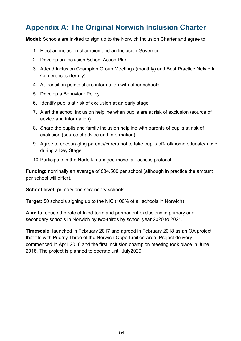# **Appendix A: The Original Norwich Inclusion Charter**

**Model:** Schools are invited to sign up to the Norwich Inclusion Charter and agree to:

- 1. Elect an inclusion champion and an Inclusion Governor
- 2. Develop an Inclusion School Action Plan
- 3. Attend Inclusion Champion Group Meetings (monthly) and Best Practice Network Conferences (termly)
- 4. At transition points share information with other schools
- 5. Develop a Behaviour Policy
- 6. Identify pupils at risk of exclusion at an early stage
- 7. Alert the school inclusion helpline when pupils are at risk of exclusion (source of advice and information)
- 8. Share the pupils and family inclusion helpline with parents of pupils at risk of exclusion (source of advice and information)
- 9. Agree to encouraging parents/carers not to take pupils off-roll/home educate/move during a Key Stage
- 10.Participate in the Norfolk managed move fair access protocol

**Funding:** nominally an average of £34,500 per school (although in practice the amount per school will differ).

**School level:** primary and secondary schools.

**Target:** 50 schools signing up to the NIC (100% of all schools in Norwich)

**Aim:** to reduce the rate of fixed-term and permanent exclusions in primary and secondary schools in Norwich by two-thirds by school year 2020 to 2021.

**Timescale:** launched in February 2017 and agreed in February 2018 as an OA project that fits with Priority Three of the Norwich Opportunities Area. Project delivery commenced in April 2018 and the first inclusion champion meeting took place in June 2018. The project is planned to operate until July2020.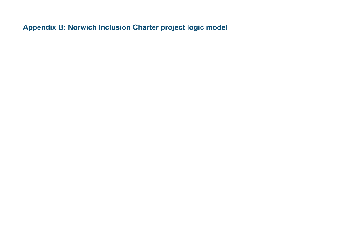**Appendix B: Norwich Inclusion Charter project logic model**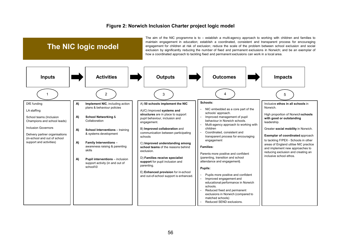#### **Figure 2: Norwich Inclusion Charter project logic model**

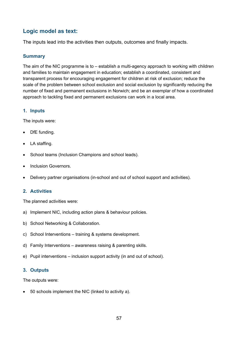## **Logic model as text:**

The inputs lead into the activities then outputs, outcomes and finally impacts.

#### **Summary**

The aim of the NIC programme is to – establish a multi-agency approach to working with children and families to maintain engagement in education; establish a coordinated, consistent and transparent process for encouraging engagement for children at risk of exclusion; reduce the scale of the problem between school exclusion and social exclusion by significantly reducing the number of fixed and permanent exclusions in Norwich; and be an exemplar of how a coordinated approach to tackling fixed and permanent exclusions can work in a local area.

#### **1. Inputs**

The inputs were:

- DfE funding.
- LA staffing.
- School teams (Inclusion Champions and school leads).
- Inclusion Governors.
- Delivery partner organisations (in-school and out of school support and activities).

#### **2. Activities**

The planned activities were:

- a) Implement NIC, including action plans & behaviour policies.
- b) School Networking & Collaboration.
- c) School Interventions training & systems development.
- d) Family Interventions awareness raising & parenting skills.
- e) Pupil interventions inclusion support activity (in and out of school).

#### **3. Outputs**

The outputs were:

• 50 schools implement the NIC (linked to activity a).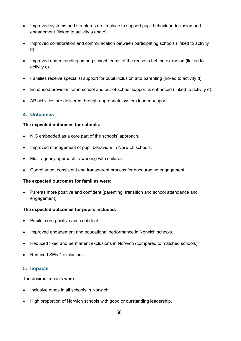- Improved systems and structures are in place to support pupil behaviour, inclusion and engagement (linked to activity a and c).
- Improved collaboration and communication between participating schools (linked to activity b).
- Improved understanding among school teams of the reasons behind exclusion (linked to activity c).
- Families receive specialist support for pupil inclusion and parenting (linked to activity d).
- Enhanced provision for in-school and out-of-school support is enhanced (linked to activity e).
- AP activities are delivered through appropriate system leader support.

#### **4. Outcomes**

#### **The expected outcomes for schools:**

- NIC embedded as a core part of the schools' approach.
- Improved management of pupil behaviour in Norwich schools.
- Multi-agency approach to working with children
- Coordinated, consistent and transparent process for encouraging engagement

#### **The expected outcomes for families were:**

• Parents more positive and confident (parenting, transition and school attendance and engagement).

#### **The expected outcomes for pupils included:**

- Pupils more positive and confident
- Improved engagement and educational performance in Norwich schools.
- Reduced fixed and permanent exclusions in Norwich (compared to matched schools)
- Reduced SEND exclusions.

#### **5. Impacts**

The desired impacts were:

- Inclusive ethos in all schools in Norwich.
- High proportion of Norwich schools with good or outstanding leadership.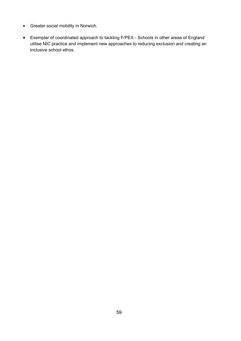- Greater social mobility in Norwich.
- Exemplar of coordinated approach to tackling F/PEX Schools in other areas of England utilise NIC practice and implement new approaches to reducing exclusion and creating an inclusive school ethos.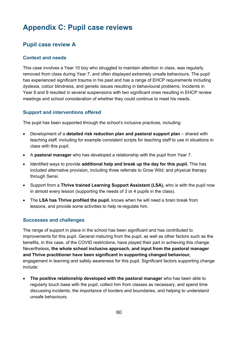# **Appendix C: Pupil case reviews**

## **Pupil case review A**

#### **Context and needs**

This case involves a Year 10 boy who struggled to maintain attention in class, was regularly removed from class during Year 7, and often displayed extremely unsafe behaviours. The pupil has experienced significant trauma in his past and has a range of EHCP requirements including dyslexia, colour blindness, and genetic issues resulting in behavioural problems. Incidents in Year 8 and 9 resulted in several suspensions with two significant ones resulting in EHCP review meetings and school consideration of whether they could continue to meet his needs.

#### **Support and interventions offered**

The pupil has been supported through the school's inclusive practices, including:

- Development of a **detailed risk reduction plan and pastoral support plan** shared with teaching staff, including for example consistent scripts for teaching staff to use in situations in class with this pupil.
- A **pastoral manager** who has developed a relationship with the pupil from Year 7.
- Identified ways to provide **additional help and break up the day for this pupil.** This has included alternative provision, including three referrals to Grow Wild; and physical therapy through Sensi.
- Support from a **Thrive trained Learning Support Assistant (LSA),** who is with the pupil now in almost every lesson (supporting the needs of 3 or 4 pupils in the class).
- The **LSA has Thrive profiled the pupil**, knows when he will need a brain break from lessons, and provide some activities to help re-regulate him.

#### **Successes and challenges**

The range of support in place in the school has been significant and has contributed to improvements for this pupil. General maturing from the pupil, as well as other factors such as the benefits, in this case, of the COVID restrictions, have played their part in achieving this change. Nevertheless**, the whole school inclusive approach, and input from the pastoral manager and Thrive practitioner have been significant in supporting changed behaviour,** engagement in learning and safety awareness for this pupil. Significant factors supporting change include:

• **The positive relationship developed with the pastoral manager** who has been able to regularly touch base with the pupil, collect him from classes as necessary, and spend time discussing incidents, the importance of borders and boundaries, and helping to understand unsafe behaviours.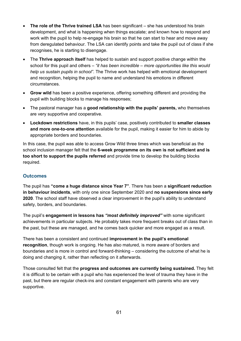- **The role of the Thrive trained LSA** has been significant she has understood his brain development, and what is happening when things escalate; and known how to respond and work with the pupil to help re-engage his brain so that he can start to hear and move away from deregulated behaviour. The LSA can identify points and take the pupil out of class if she recognises, he is starting to disengage.
- The **Thrive approach itself** has helped to sustain and support positive change within the school for this pupil and others – *"it has been incredible – more opportunities like this would help us sustain pupils in school"*. The Thrive work has helped with emotional development and recognition, helping the pupil to name and understand his emotions in different circumstances.
- **Grow wild** has been a positive experience, offering something different and providing the pupil with building blocks to manage his responses;
- The pastoral manager has a **good relationship with the pupils' parents,** who themselves are very supportive and cooperative.
- **Lockdown restrictions** have, in this pupils' case, positively contributed to **smaller classes and more one-to-one attention** available for the pupil, making it easier for him to abide by appropriate borders and boundaries.

In this case, the pupil was able to access Grow Wild three times which was beneficial as the school inclusion manager felt that the **6-week programme on its own is not sufficient and is too short to support the pupils referred** and provide time to develop the building blocks required.

#### **Outcomes**

The pupil has **"come a huge distance since Year 7"***.* There has been a **significant reduction in behaviour incidents**, with only one since September 2020 and **no suspensions since early 2020**. The school staff have observed a clear improvement in the pupil's ability to understand safety, borders, and boundaries.

The pupil's **engagement in lessons has** *"most definitely improved"* with some significant achievements in particular subjects. He probably takes more frequent breaks out of class than in the past, but these are managed, and he comes back quicker and more engaged as a result.

There has been a consistent and continued **improvement in the pupil's emotional recognition**, though work is ongoing. He has also matured, is more aware of borders and boundaries and is more in control and forward-thinking – considering the outcome of what he is doing and changing it, rather than reflecting on it afterwards.

Those consulted felt that the **progress and outcomes are currently being sustained.** They felt it is difficult to be certain with a pupil who has experienced the level of trauma they have in the past, but there are regular check-ins and constant engagement with parents who are very supportive.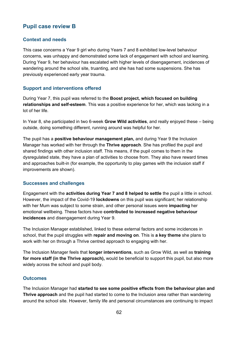### **Pupil case review B**

#### **Context and needs**

This case concerns a Year 9 girl who during Years 7 and 8 exhibited low-level behaviour concerns, was unhappy and demonstrated some lack of engagement with school and learning. During Year 9, her behaviour has escalated with higher levels of disengagement, incidences of wandering around the school site, truanting, and she has had some suspensions. She has previously experienced early year trauma.

#### **Support and interventions offered**

During Year 7, this pupil was referred to the **Boost project, which focused on building relationships and self-esteem**. This was a positive experience for her, which was lacking in a lot of her life.

In Year 8, she participated in two 6-week **Grow Wild activities**, and really enjoyed these – being outside, doing something different, running around was helpful for her.

The pupil has a **positive behaviour management plan,** and during Year 9 the Inclusion Manager has worked with her through the **Thrive approach**. She has profiled the pupil and shared findings with other inclusion staff. This means, if the pupil comes to them in the dysregulated state, they have a plan of activities to choose from. They also have reward times and approaches built-in (for example, the opportunity to play games with the inclusion staff if improvements are shown).

#### **Successes and challenges**

Engagement with the **activities during Year 7 and 8 helped to settle** the pupil a little in school. However, the impact of the Covid-19 **lockdowns** on this pupil was significant; her relationship with her Mum was subject to some strain, and other personal issues were **impacting** her emotional wellbeing. These factors have **contributed to increased negative behaviour incidences** and disengagement during Year 9.

The Inclusion Manager established, linked to these external factors and some incidences in school, that the pupil struggles with **repair and moving on**. This is **a key theme** she plans to work with her on through a Thrive centred approach to engaging with her.

The Inclusion Manager feels that **longer interventions**, such as Grow Wild, as well as **training for more staff (in the Thrive approach),** would be beneficial to support this pupil, but also more widely across the school and pupil body.

#### **Outcomes**

The Inclusion Manager had **started to see some positive effects from the behaviour plan and Thrive approach** and the pupil had started to come to the Inclusion area rather than wandering around the school site. However, family life and personal circumstances are continuing to impact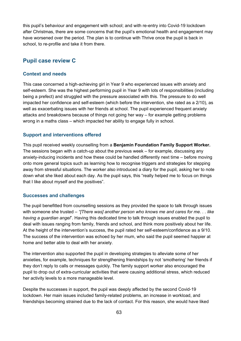this pupil's behaviour and engagement with school; and with re-entry into Covid-19 lockdown after Christmas, there are some concerns that the pupil's emotional health and engagement may have worsened over the period. The plan is to continue with Thrive once the pupil is back in school, to re-profile and take it from there.

### **Pupil case review C**

#### **Context and needs**

This case concerned a high-achieving girl in Year 9 who experienced issues with anxiety and self-esteem. She was the highest performing pupil in Year 9 with lots of responsibilities (including being a prefect) and struggled with the pressure associated with this. The pressure to do well impacted her confidence and self-esteem (which before the intervention, she rated as a 2/10), as well as exacerbating issues with her friends at school. The pupil experienced frequent anxiety attacks and breakdowns because of things not going her way – for example getting problems wrong in a maths class – which impacted her ability to engage fully in school.

#### **Support and interventions offered**

This pupil received weekly counselling from a **Benjamin Foundation Family Support Worker.**  The sessions began with a catch-up about the previous week – for example, discussing any anxiety-inducing incidents and how these could be handled differently next time – before moving onto more general topics such as learning how to recognise triggers and strategies for stepping away from stressful situations. The worker also introduced a diary for the pupil, asking her to note down what she liked about each day. As the pupil says, this "really helped me to focus on things that I like about myself and the positives".

#### **Successes and challenges**

The pupil benefitted from counselling sessions as they provided the space to talk through issues with someone she trusted – *"[There was] another person who knows me and cares for me. . . like having a guardian angel*". Having this dedicated time to talk through issues enabled the pupil to deal with issues ranging from family, friends and school, and think more positively about her life. At the height of the intervention's success, the pupil rated her self-esteem/confidence as a 9/10. The success of the intervention was echoed by her mum, who said the pupil seemed happier at home and better able to deal with her anxiety.

The intervention also supported the pupil in developing strategies to alleviate some of her anxieties, for example, techniques for strengthening friendships by not 'smothering' her friends if they don't reply to calls or messages quickly. The family support worker also encouraged the pupil to drop out of extra-curricular activities that were causing additional stress, which reduced her activity levels to a more manageable level.

Despite the successes in support, the pupil was deeply affected by the second Covid-19 lockdown. Her main issues included family-related problems, an increase in workload, and friendships becoming strained due to the lack of contact. For this reason, she would have liked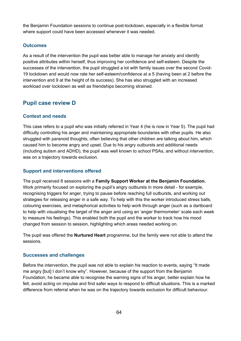the Benjamin Foundation sessions to continue post-lockdown, especially in a flexible format where support could have been accessed whenever it was needed.

#### **Outcomes**

As a result of the intervention the pupil was better able to manage her anxiety and identify positive attributes within herself, thus improving her confidence and self-esteem. Despite the successes of the intervention, the pupil struggled a lot with family issues over the second Covid-19 lockdown and would now rate her self-esteem/confidence at a 5 (having been at 2 before the intervention and 9 at the height of its success). She has also struggled with an increased workload over lockdown as well as friendships becoming strained.

#### **Pupil case review D**

#### **Context and needs**

This case refers to a pupil who was initially referred in Year 4 (he is now in Year 5). The pupil had difficulty controlling his anger and maintaining appropriate boundaries with other pupils. He also struggled with paranoid thoughts, often believing that other children are talking about him, which caused him to become angry and upset. Due to his angry outbursts and additional needs (including autism and ADHD), the pupil was well known to school PSAs, and without intervention, was on a trajectory towards exclusion.

#### **Support and interventions offered**

The pupil received 8 sessions with a **Family Support Worker at the Benjamin Foundation.**  Work primarily focused on exploring the pupil's angry outbursts in more detail - for example, recognising triggers for anger, trying to pause before reaching full outbursts, and working out strategies for releasing anger in a safe way. To help with this the worker introduced stress balls, colouring exercises, and metaphorical activities to help work through anger (such as a dartboard to help with visualising the target of the anger and using an 'anger thermometer' scale each week to measure his feelings). This enabled both the pupil and the worker to track how his mood changed from session to session, highlighting which areas needed working on.

The pupil was offered the **Nurtured Heart** programme, but the family were not able to attend the sessions.

#### **Successes and challenges**

Before the intervention, the pupil was not able to explain his reaction to events, saying "It made me angry [but] I don't know why". However, because of the support from the Benjamin Foundation, he became able to recognise the warning signs of his anger, better explain how he felt, avoid acting on impulse and find safer ways to respond to difficult situations. This is a marked difference from referral when he was on the trajectory towards exclusion for difficult behaviour.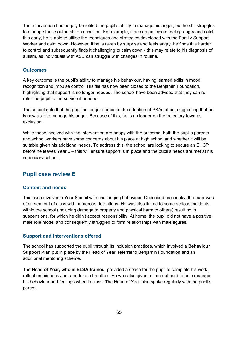The intervention has hugely benefited the pupil's ability to manage his anger, but he still struggles to manage these outbursts on occasion. For example, if he can anticipate feeling angry and catch this early, he is able to utilise the techniques and strategies developed with the Family Support Worker and calm down. However, if he is taken by surprise and feels angry, he finds this harder to control and subsequently finds it challenging to calm down - this may relate to his diagnosis of autism, as individuals with ASD can struggle with changes in routine.

#### **Outcomes**

A key outcome is the pupil's ability to manage his behaviour, having learned skills in mood recognition and impulse control. His file has now been closed to the Benjamin Foundation, highlighting that support is no longer needed. The school have been advised that they can rerefer the pupil to the service if needed.

The school note that the pupil no longer comes to the attention of PSAs often, suggesting that he is now able to manage his anger. Because of this, he is no longer on the trajectory towards exclusion.

While those involved with the intervention are happy with the outcome, both the pupil's parents and school workers have some concerns about his place at high school and whether it will be suitable given his additional needs. To address this, the school are looking to secure an EHCP before he leaves Year 6 – this will ensure support is in place and the pupil's needs are met at his secondary school.

### **Pupil case review E**

#### **Context and needs**

This case involves a Year 8 pupil with challenging behaviour. Described as cheeky, the pupil was often sent out of class with numerous detentions. He was also linked to some serious incidents within the school (including damage to property and physical harm to others) resulting in suspensions, for which he didn't accept responsibility. At home, the pupil did not have a positive male role model and consequently struggled to form relationships with male figures.

#### **Support and interventions offered**

The school has supported the pupil through its inclusion practices, which involved a **Behaviour Support Plan** put in place by the Head of Year, referral to Benjamin Foundation and an additional mentoring scheme.

The **Head of Year, who is ELSA trained**, provided a space for the pupil to complete his work, reflect on his behaviour and take a breather. He was also given a time-out card to help manage his behaviour and feelings when in class. The Head of Year also spoke regularly with the pupil's parent.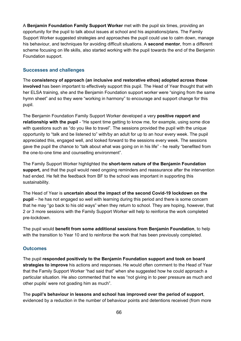A **Benjamin Foundation Family Support Worker** met with the pupil six times, providing an opportunity for the pupil to talk about issues at school and his aspirations/plans. The Family Support Worker suggested strategies and approaches the pupil could use to calm down, manage his behaviour, and techniques for avoiding difficult situations. A **second mentor**, from a different scheme focusing on life skills, also started working with the pupil towards the end of the Benjamin Foundation support.

#### **Successes and challenges**

The **consistency of approach (an inclusive and restorative ethos) adopted across those involved** has been important to effectively support this pupil. The Head of Year thought that with her ELSA training, she and the Benjamin Foundation support worker were "singing from the same hymn sheet" and so they were "working in harmony" to encourage and support change for this pupil.

The Benjamin Foundation Family Support Worker developed a very **positive rapport and relationship with the pupil** - "He spent time getting to know me, for example, using some dice with questions such as "do you like to travel". The sessions provided the pupil with the unique opportunity to "talk and be listened to" with/by an adult for up to an hour every week. The pupil appreciated this, engaged well, and looked forward to the sessions every week. The sessions gave the pupil the chance to "talk about what was going on in his life" - he really "benefited from the one-to-one time and counselling environment".

The Family Support Worker highlighted the **short-term nature of the Benjamin Foundation support,** and that the pupil would need ongoing reminders and reassurance after the intervention had ended. He felt the feedback from BF to the school was important in supporting this sustainability.

The Head of Year is **uncertain about the impact of the second Covid-19 lockdown on the pupil** – he has not engaged so well with learning during this period and there is some concern that he may "go back to his old ways" when they return to school. They are hoping, however, that 2 or 3 more sessions with the Family Support Worker will help to reinforce the work completed pre-lockdown.

The pupil would **benefit from some additional sessions from Benjamin Foundation**, to help with the transition to Year 10 and to reinforce the work that has been previously completed.

#### **Outcomes**

The pupil **responded positively to the Benjamin Foundation support and took on board strategies to improve** his actions and responses. He would often comment to the Head of Year that the Family Support Worker "had said that" when she suggested how he could approach a particular situation. He also commented that he was "not giving in to peer pressure as much and other pupils' were not goading him as much".

The **pupil's behaviour in lessons and school has improved over the period of support**, evidenced by a reduction in the number of behaviour points and detentions received (from more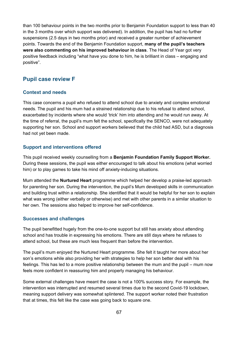than 100 behaviour points in the two months prior to Benjamin Foundation support to less than 40 in the 3 months over which support was delivered). In addition, the pupil has had no further suspensions (2.5 days in two months prior) and received a greater number of achievement points. Towards the end of the Benjamin Foundation support, **many of the pupil's teachers were also commenting on his improved behaviour in class**. The Head of Year got very positive feedback including "what have you done to him, he is brilliant in class – engaging and positive".

### **Pupil case review F**

#### **Context and needs**

This case concerns a pupil who refused to attend school due to anxiety and complex emotional needs. The pupil and his mum had a strained relationship due to his refusal to attend school, exacerbated by incidents where she would 'trick' him into attending and he would run away. At the time of referral, the pupil's mum felt the school, specifically the SENCO, were not adequately supporting her son. School and support workers believed that the child had ASD, but a diagnosis had not yet been made.

#### **Support and interventions offered**

This pupil received weekly counselling from a **Benjamin Foundation Family Support Worker.**  During these sessions, the pupil was either encouraged to talk about his emotions (what worried him) or to play games to take his mind off anxiety-inducing situations.

Mum attended the **Nurtured Heart** programme which helped her develop a praise-led approach for parenting her son. During the intervention, the pupil's Mum developed skills in communication and building trust within a relationship. She identified that it would be helpful for her son to explain what was wrong (either verbally or otherwise) and met with other parents in a similar situation to her own. The sessions also helped to improve her self-confidence.

#### **Successes and challenges**

The pupil benefitted hugely from the one-to-one support but still has anxiety about attending school and has trouble in expressing his emotions. There are still days where he refuses to attend school, but these are much less frequent than before the intervention.

The pupil's mum enjoyed the Nurtured Heart programme. She felt it taught her more about her son's emotions while also providing her with strategies to help her son better deal with his feelings. This has led to a more positive relationship between the mum and the pupil – mum now feels more confident in reassuring him and properly managing his behaviour.

Some external challenges have meant the case is not a 100% success story. For example, the intervention was interrupted and resumed several times due to the second Covid-19 lockdown, meaning support delivery was somewhat splintered. The support worker noted their frustration that at times, this felt like the case was going back to square one.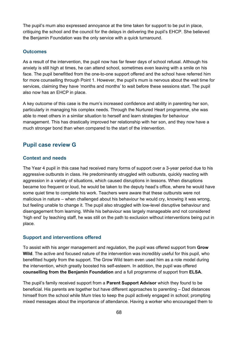The pupil's mum also expressed annoyance at the time taken for support to be put in place, critiquing the school and the council for the delays in delivering the pupil's EHCP. She believed the Benjamin Foundation was the only service with a quick turnaround.

#### **Outcomes**

As a result of the intervention, the pupil now has far fewer days of school refusal. Although his anxiety is still high at times, he can attend school, sometimes even leaving with a smile on his face. The pupil benefitted from the one-to-one support offered and the school have referred him for more counselling through Point 1. However, the pupil's mum is nervous about the wait time for services, claiming they have 'months and months' to wait before these sessions start. The pupil also now has an EHCP in place.

A key outcome of this case is the mum's increased confidence and ability in parenting her son, particularly in managing his complex needs. Through the Nurtured Heart programme, she was able to meet others in a similar situation to herself and learn strategies for behaviour management. This has drastically improved her relationship with her son, and they now have a much stronger bond than when compared to the start of the intervention.

### **Pupil case review G**

#### **Context and needs**

The Year 4 pupil in this case had received many forms of support over a 3-year period due to his aggressive outbursts in class. He predominantly struggled with outbursts, quickly reacting with aggression in a variety of situations, which caused disruptions in lessons. When disruptions became too frequent or loud, he would be taken to the deputy head's office, where he would have some quiet time to complete his work. Teachers were aware that these outbursts were not malicious in nature – when challenged about his behaviour he would cry, knowing it was wrong, but feeling unable to change it. The pupil also struggled with low-level disruptive behaviour and disengagement from learning. While his behaviour was largely manageable and not considered 'high end' by teaching staff, he was still on the path to exclusion without interventions being put in place.

#### **Support and interventions offered**

To assist with his anger management and regulation, the pupil was offered support from **Grow Wild**. The active and focused nature of the intervention was incredibly useful for this pupil, who benefitted hugely from the support. The Grow Wild team even used him as a role model during the intervention, which greatly boosted his self-esteem. In addition, the pupil was offered **counselling from the Benjamin Foundation** and a full programme of support from **ELSA.**

The pupil's family received support from a **Parent Support Advisor** which they found to be beneficial. His parents are together but have different approaches to parenting – Dad distances himself from the school while Mum tries to keep the pupil actively engaged in school; prompting mixed messages about the importance of attendance. Having a worker who encouraged them to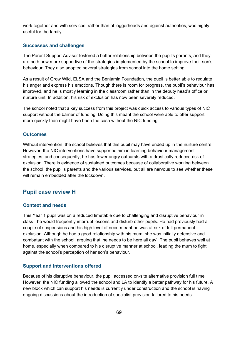work together and with services, rather than at loggerheads and against authorities, was highly useful for the family.

#### **Successes and challenges**

The Parent Support Advisor fostered a better relationship between the pupil's parents, and they are both now more supportive of the strategies implemented by the school to improve their son's behaviour. They also adopted several strategies from school into the home setting.

As a result of Grow Wild, ELSA and the Benjamin Foundation, the pupil is better able to regulate his anger and express his emotions. Though there is room for progress, the pupil's behaviour has improved, and he is mostly learning in the classroom rather than in the deputy head's office or nurture unit. In addition, his risk of exclusion has now been severely reduced.

The school noted that a key success from this project was quick access to various types of NIC support without the barrier of funding. Doing this meant the school were able to offer support more quickly than might have been the case without the NIC funding.

#### **Outcomes**

Without intervention, the school believes that this pupil may have ended up in the nurture centre. However, the NIC interventions have supported him in learning behaviour management strategies, and consequently, he has fewer angry outbursts with a drastically reduced risk of exclusion. There is evidence of sustained outcomes because of collaborative working between the school, the pupil's parents and the various services, but all are nervous to see whether these will remain embedded after the lockdown.

#### **Pupil case review H**

#### **Context and needs**

This Year 1 pupil was on a reduced timetable due to challenging and disruptive behaviour in class - he would frequently interrupt lessons and disturb other pupils. He had previously had a couple of suspensions and his high level of need meant he was at risk of full permanent exclusion. Although he had a good relationship with his mum, she was initially defensive and combatant with the school, arguing that 'he needs to be here all day'. The pupil behaves well at home, especially when compared to his disruptive manner at school, leading the mum to fight against the school's perception of her son's behaviour.

#### **Support and interventions offered**

Because of his disruptive behaviour, the pupil accessed on-site alternative provision full time. However, the NIC funding allowed the school and LA to identify a better pathway for his future. A new block which can support his needs is currently under construction and the school is having ongoing discussions about the introduction of specialist provision tailored to his needs.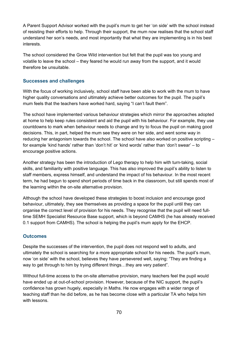A Parent Support Advisor worked with the pupil's mum to get her 'on side' with the school instead of resisting their efforts to help. Through their support, the mum now realises that the school staff understand her son's needs, and most importantly that what they are implementing is in his best interests.

The school considered the Grow Wild intervention but felt that the pupil was too young and volatile to leave the school – they feared he would run away from the support, and it would therefore be unsuitable.

#### **Successes and challenges**

With the focus of working inclusively, school staff have been able to work with the mum to have higher quality conversations and ultimately achieve better outcomes for the pupil. The pupil's mum feels that the teachers have worked hard, saying "I can't fault them".

The school have implemented various behaviour strategies which mirror the approaches adopted at home to help keep rules consistent and aid the pupil with his behaviour. For example, they use countdowns to mark when behaviour needs to change and try to focus the pupil on making good decisions. This, in part, helped the mum see they were on her side, and went some way in reducing her antagonism towards the school. The school have also worked on positive scripting – for example 'kind hands' rather than 'don't hit' or 'kind words' rather than 'don't swear' – to encourage positive actions.

Another strategy has been the introduction of Lego therapy to help him with turn-taking, social skills, and familiarity with positive language. This has also improved the pupil's ability to listen to staff members, express himself, and understand the impact of his behaviour. In the most recent term, he had begun to spend short periods of time back in the classroom, but still spends most of the learning within the on-site alternative provision.

Although the school have developed these strategies to boost inclusion and encourage good behaviour, ultimately, they see themselves as providing a space for the pupil until they can organise the correct level of provision for his needs. They recognise that the pupil will need fulltime SEMH Specialist Resource Base support, which is beyond CAMHS (he has already received 0.1 support from CAMHS). The school is helping the pupil's mum apply for the EHCP.

#### **Outcomes**

Despite the successes of the intervention, the pupil does not respond well to adults, and ultimately the school is searching for a more appropriate school for his needs. The pupil's mum, now 'on side' with the school, believes they have persevered well, saying: "They are finding a way to get through to him by trying different things…they are very patient".

Without full-time access to the on-site alternative provision, many teachers feel the pupil would have ended up at out-of-school provision. However, because of the NIC support, the pupil's confidence has grown hugely, especially in Maths. He now engages with a wider range of teaching staff than he did before, as he has become close with a particular TA who helps him with lessons.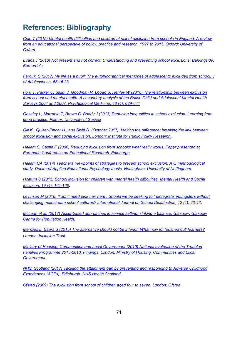# **References: Bibliography**

*[Cole T \(2015\) Mental health difficulties and children at risk of exclusion from schools in England: A review](http://citeseerx.ist.psu.edu/viewdoc/download?doi=10.1.1.722.2930&rep=rep1&type=pdf)  from an educational perspective of [policy, practice and research, 1997 to 2015. Oxford: University of](http://citeseerx.ist.psu.edu/viewdoc/download?doi=10.1.1.722.2930&rep=rep1&type=pdf)  [Oxford.](http://citeseerx.ist.psu.edu/viewdoc/download?doi=10.1.1.722.2930&rep=rep1&type=pdf)*

*[Evans J \(2010\) Not present and not correct: Understanding and preventing school exclusions. Barkingside:](https://www.bl.uk/collection-items/not-present-and-not-correct-understanding-and-preventing-school-exclusions)  [Barnardo's](https://www.bl.uk/collection-items/not-present-and-not-correct-understanding-and-preventing-school-exclusions)*

*[Farouk. S \(2017\) My life as a pupil: The autobiographical memories of adolescents excluded from school. J](https://pubmed.ncbi.nlm.nih.gov/28011372/)  [of Adolescence, 55:16:23](https://pubmed.ncbi.nlm.nih.gov/28011372/)*

*[Ford T, Parker C, Salim J, Goodman R, Logan S, Henley W \(2018\) The relationship between exclusion](https://pubmed.ncbi.nlm.nih.gov/28838327/)  [from school and mental health: A secondary analysis of the British Child and Adolescent Mental Health](https://pubmed.ncbi.nlm.nih.gov/28838327/)  [Surveys 2004 and 2007, Psychological Medicine, 48 \(4\): 629-641](https://pubmed.ncbi.nlm.nih.gov/28838327/)*

*[Gazeley L, Marrable T, Brown C, Boddy J \(2013\) Reducing inequalities in school exclusion: Learning from](http://sro.sussex.ac.uk/id/eprint/44751/)  [good practice. Falmer: University of Sussex](http://sro.sussex.ac.uk/id/eprint/44751/)*

*[Gill K., Quilter-Pinner H., and Swift D. \(October 2017\). Making the difference: breaking the link between](https://www.ippr.org/publications/making-the-difference)  [school exclusion and social exclusion. London: Institute for Public Policy Research](https://www.ippr.org/publications/making-the-difference)*.

*[Hallam S, Castle F \(2000\) Reducing exclusion from schools: what really works. Paper presented at](https://scholar.google.com/scholar?cluster=2977363459072823937&hl=en&as_sdt=0,5)  [European Conference on Educational Research, Edinburgh](https://scholar.google.com/scholar?cluster=2977363459072823937&hl=en&as_sdt=0,5)*

*[Hallam CA \(2014\) Teachers' viewpoints of strategies to prevent school exclusion: A Q methodological](http://eprints.nottingham.ac.uk/27840/1/DEdApp%20Cathy%20Hallam%204171043.pdf)  [study, Doctor of Applied Educational Psychology thesis, Nottingham: University of Nottingham.](http://eprints.nottingham.ac.uk/27840/1/DEdApp%20Cathy%20Hallam%204171043.pdf)* 

*[Holttum S \(2015\) School inclusion for children with mental health difficulties, Mental Health and Social](https://www.researchgate.net/publication/284196484_School_inclusion_for_children_with_mental_health_difficulties)  [Inclusion, 19 \(4\): 161-168](https://www.researchgate.net/publication/284196484_School_inclusion_for_children_with_mental_health_difficulties)*.

*[Levinson M \(2016\) 'I don't need pink hair here': Should we be seeking to 'reintegrate' youngsters without](https://access.portico.org/Portico/auView?auId=ark:%2F27927%2Fphx2bp2c4pc)  [challenging mainstream school cultures? International Journal on School Disaffection, 12 \(1\): 23-43](https://access.portico.org/Portico/auView?auId=ark:%2F27927%2Fphx2bp2c4pc)*.

*[McLean et al, \(2017\) Asset-based approaches in service setting: striking a balance. Glasgow: Glasgow](https://www.gcph.co.uk/assets/0000/6049/Asset_based_approaches_in_service_settings.pdf)  [Centre for Population Health.](https://www.gcph.co.uk/assets/0000/6049/Asset_based_approaches_in_service_settings.pdf)*

*[Menzies L, Baars S \(2015\) The alternative should not be inferior: What now for 'pushed out' learners?](https://cfey.org/wp-content/uploads/2015/02/Inclusion-Trust_What-Now-For-Pushed-Out-Learners-final.pdf)  [London: Inclusion Trust](https://cfey.org/wp-content/uploads/2015/02/Inclusion-Trust_What-Now-For-Pushed-Out-Learners-final.pdf)*.

*[Ministry of Housing, Communities and Local Government \(2019\) National evaluation of the Troubled](https://www.gov.uk/government/publications/national-evaluation-of-the-troubled-families-programme-2015-to-2020-findings)  [Families Programme 2015-2010: Findings. London: Ministry of Housing, Communities and Local](https://www.gov.uk/government/publications/national-evaluation-of-the-troubled-families-programme-2015-to-2020-findings)  [Government.](https://www.gov.uk/government/publications/national-evaluation-of-the-troubled-families-programme-2015-to-2020-findings)* 

*[NHS, Scotland \(2017\) Tackling the attainment gap by preventing and responding to Adverse Childhood](http://www.healthscotland.scot/media/1517/tackling-the-attainment-gap-by-preventing-and-responding-to-adverse-childhood-experiences.pdf)  [Experiences \(ACEs\). Edinburgh:](http://www.healthscotland.scot/media/1517/tackling-the-attainment-gap-by-preventing-and-responding-to-adverse-childhood-experiences.pdf) NHS Health Scotland.*

*Ofsted (2009) The exclusion [from school of children aged four to seven. London: Ofsted](https://dera.ioe.ac.uk/4175/1/The_exclusion_from_school_of_children_aged_four_to_seven%5B1%5D.pdf)*.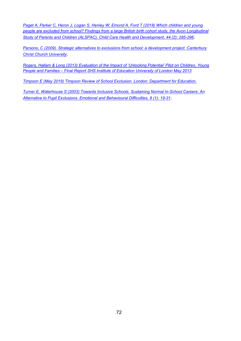*[Paget A, Parker C, Heron J, Logan S, Henley W, Emond A, Ford T \(2018\) Which children and young](https://pubmed.ncbi.nlm.nih.gov/28913834/)  [people are excluded from school? Findings from a large British birth cohort study, the Avon Longitudinal](https://pubmed.ncbi.nlm.nih.gov/28913834/)  [Study of Parents and Children \(ALSPAC\), Child Care Health and Development, 44 \(2\): 285-296](https://pubmed.ncbi.nlm.nih.gov/28913834/)*.

*[Parsons, C \(2009\). Strategic alternatives to exclusions from school: a development project. Canterbury](https://repository.canterbury.ac.uk/item/8524w/strategic-alternatives-to-exclusion-from-school)  [Christ Church University](https://repository.canterbury.ac.uk/item/8524w/strategic-alternatives-to-exclusion-from-school)*.

*[Rogers, Hallam & Long \(2013\) Evaluation of the Impact of 'Unlocking Potential' Pilot on Children, Young](https://www.schoolhomesupport.org.uk/wp-content/uploads/2015/11/6.1-Evaluation-of-the-Impact-of-%E2%80%98Unlocking-Potential%E2%80%99-Pilot-Institute-of-Education-Final-report.pdf)  [People and Families – Final Report SHS Institute of Education University of London May 2013](https://www.schoolhomesupport.org.uk/wp-content/uploads/2015/11/6.1-Evaluation-of-the-Impact-of-%E2%80%98Unlocking-Potential%E2%80%99-Pilot-Institute-of-Education-Final-report.pdf)*

*[Timpson E \(May 2019\) Timpson Review of School Exclusion. London: Department for Education.](https://assets.publishing.service.gov.uk/government/uploads/system/uploads/attachment_data/file/807862/Timpson_review.pdf)*

*[Turner E, Waterhouse S \(2003\) Towards Inclusive Schools. Sustaining Normal In-School Careers: An](https://www.researchgate.net/publication/275485260_Towards_Inclusive_Schools_Sustaining_Normal_In-school_Careers_An_alternative_to_pupil_exclusions)  [Alternative to Pupil Exclusions. Emotional and Behavioural Difficulties, 8 \(1\): 19-31](https://www.researchgate.net/publication/275485260_Towards_Inclusive_Schools_Sustaining_Normal_In-school_Careers_An_alternative_to_pupil_exclusions)*.